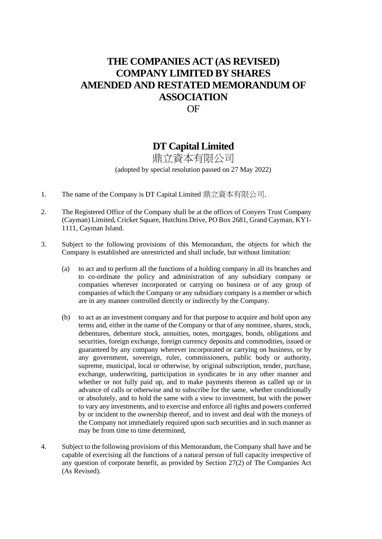# **THE COMPANIES ACT (AS REVISED) COMPANY LIMITED BY SHARES AMENDED AND RESTATED MEMORANDUM OF ASSOCIATION** OF

# **DT Capital Limited**

鼎立資本有限公司 (adopted by special resolution passed on 27 May 2022)

- 1. The name of the Company is DT Capital Limited 鼎立資本有限公司.
- 2. The Registered Office of the Company shall be at the offices of Conyers Trust Company (Cayman) Limited, Cricket Square, Hutchins Drive, PO Box 2681, Grand Cayman, KY1- 1111, Cayman Island.
- 3. Subject to the following provisions of this Memorandum, the objects for which the Company is established are unrestricted and shall include, but without limitation:
	- (a) to act and to perform all the functions of a holding company in all its branches and to co-ordinate the policy and administration of any subsidiary company or companies wherever incorporated or carrying on business or of any group of companies of which the Company or any subsidiary company is a member or which are in any manner controlled directly or indirectly by the Company.
	- (b) to act as an investment company and for that purpose to acquire and hold upon any terms and, either in the name of the Company or that of any nominee, shares, stock, debentures, debenture stock, annuities, notes, mortgages, bonds, obligations and securities, foreign exchange, foreign currency deposits and commodities, issued or guaranteed by any company wherever incorporated or carrying on business, or by any government, sovereign, ruler, commissioners, public body or authority, supreme, municipal, local or otherwise, by original subscription, tender, purchase, exchange, underwriting, participation in syndicates br in any other manner and whether or not fully paid up, and to make payments thereon as called up or in advance of calls or otherwise and to subscribe for the same, whether conditionally or absolutely, and to hold the same with a view to investment, but with the power to vary any investments, and to exercise and enforce all rights and powers conferred by or incident to the ownership thereof, and to invest and deal with the moneys of the Company not immediately required upon such securities and in such manner as may be from time to time determined,
- 4. Subject to the following provisions of this Memorandum, the Company shall have and be capable of exercising all the functions of a natural person of full capacity irrespective of any question of corporate benefit, as provided by Section 27(2) of The Companies Act (As Revised).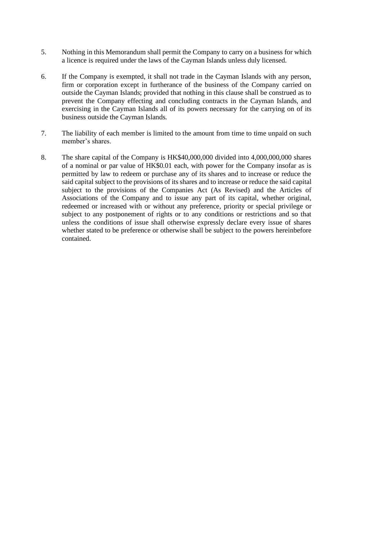- 5. Nothing in this Memorandum shall permit the Company to carry on a business for which a licence is required under the laws of the Cayman Islands unless duly licensed.
- 6. If the Company is exempted, it shall not trade in the Cayman Islands with any person, firm or corporation except in furtherance of the business of the Company carried on outside the Cayman Islands; provided that nothing in this clause shall be construed as to prevent the Company effecting and concluding contracts in the Cayman Islands, and exercising in the Cayman Islands all of its powers necessary for the carrying on of its business outside the Cayman Islands.
- 7. The liability of each member is limited to the amount from time to time unpaid on such member's shares.
- 8. The share capital of the Company is HK\$40,000,000 divided into 4,000,000,000 shares of a nominal or par value of HK\$0.01 each, with power for the Company insofar as is permitted by law to redeem or purchase any of its shares and to increase or reduce the said capital subject to the provisions of its shares and to increase or reduce the said capital subject to the provisions of the Companies Act (As Revised) and the Articles of Associations of the Company and to issue any part of its capital, whether original, redeemed or increased with or without any preference, priority or special privilege or subject to any postponement of rights or to any conditions or restrictions and so that unless the conditions of issue shall otherwise expressly declare every issue of shares whether stated to be preference or otherwise shall be subject to the powers hereinbefore contained.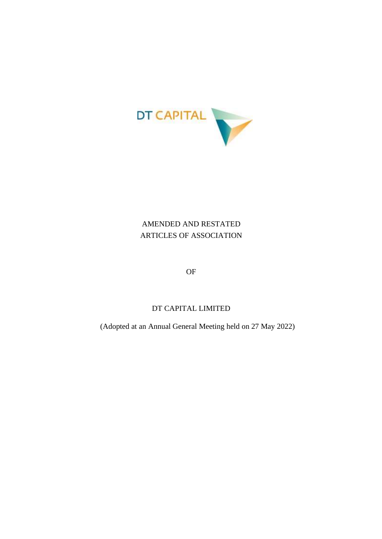

# AMENDED AND RESTATED ARTICLES OF ASSOCIATION

OF

# DT CAPITAL LIMITED

(Adopted at an Annual General Meeting held on 27 May 2022)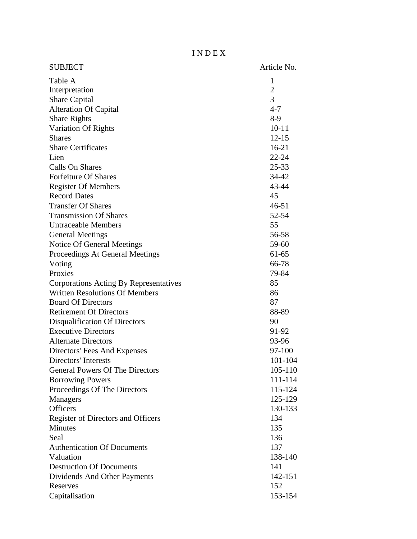I N D E X

| <b>SUBJECT</b>                         | Article No.  |
|----------------------------------------|--------------|
| Table A                                | $\mathbf{1}$ |
| Interpretation                         | $\mathbf{2}$ |
| Share Capital                          | 3            |
| <b>Alteration Of Capital</b>           | $4 - 7$      |
| <b>Share Rights</b>                    | $8-9$        |
| Variation Of Rights                    | $10 - 11$    |
| <b>Shares</b>                          | $12 - 15$    |
| <b>Share Certificates</b>              | $16 - 21$    |
| Lien                                   | $22 - 24$    |
| Calls On Shares                        | 25-33        |
| <b>Forfeiture Of Shares</b>            | 34-42        |
| <b>Register Of Members</b>             | 43-44        |
| <b>Record Dates</b>                    | 45           |
| <b>Transfer Of Shares</b>              | $46 - 51$    |
| <b>Transmission Of Shares</b>          | 52-54        |
| <b>Untraceable Members</b>             | 55           |
| <b>General Meetings</b>                | 56-58        |
| Notice Of General Meetings             | 59-60        |
| Proceedings At General Meetings        | $61 - 65$    |
| Voting                                 | 66-78        |
| Proxies                                | 79-84        |
| Corporations Acting By Representatives | 85           |
| <b>Written Resolutions Of Members</b>  | 86           |
| <b>Board Of Directors</b>              | 87           |
| <b>Retirement Of Directors</b>         | 88-89        |
| <b>Disqualification Of Directors</b>   | 90           |
| <b>Executive Directors</b>             | 91-92        |
| <b>Alternate Directors</b>             | 93-96        |
| Directors' Fees And Expenses           | 97-100       |
| <b>Directors'</b> Interests            | 101-104      |
| <b>General Powers Of The Directors</b> | 105-110      |
| <b>Borrowing Powers</b>                | 111-114      |
| Proceedings Of The Directors           | 115-124      |
| <b>Managers</b>                        | 125-129      |
| <b>Officers</b>                        | 130-133      |
| Register of Directors and Officers     | 134          |
| Minutes                                | 135          |
| Seal                                   | 136          |
| <b>Authentication Of Documents</b>     | 137          |
| Valuation                              | 138-140      |
| <b>Destruction Of Documents</b>        | 141          |
| Dividends And Other Payments           | 142-151      |
| Reserves                               | 152          |
| Capitalisation                         | 153-154      |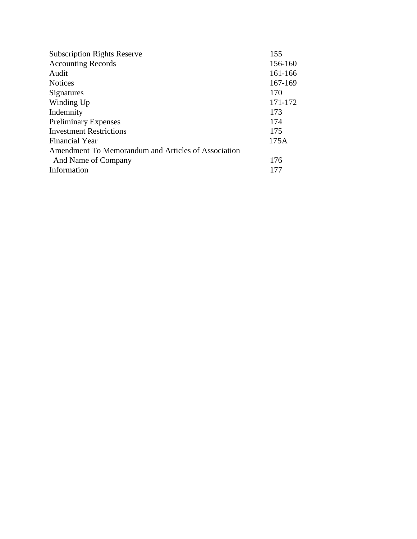| <b>Subscription Rights Reserve</b>                  | 155     |
|-----------------------------------------------------|---------|
| <b>Accounting Records</b>                           | 156-160 |
| Audit                                               | 161-166 |
| <b>Notices</b>                                      | 167-169 |
| Signatures                                          | 170     |
| Winding Up                                          | 171-172 |
| Indemnity                                           | 173     |
| <b>Preliminary Expenses</b>                         | 174     |
| <b>Investment Restrictions</b>                      | 175     |
| Financial Year                                      | 175A    |
| Amendment To Memorandum and Articles of Association |         |
| And Name of Company                                 | 176     |
| Information                                         | 177     |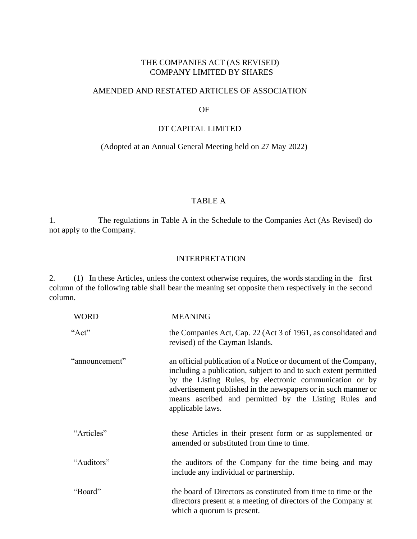### THE COMPANIES ACT (AS REVISED) COMPANY LIMITED BY SHARES

#### AMENDED AND RESTATED ARTICLES OF ASSOCIATION

#### OF

#### DT CAPITAL LIMITED

#### (Adopted at an Annual General Meeting held on 27 May 2022)

### TABLE A

1. The regulations in Table A in the Schedule to the Companies Act (As Revised) do not apply to the Company.

#### INTERPRETATION

2. (1) In these Articles, unless the context otherwise requires, the words standing in the first column of the following table shall bear the meaning set opposite them respectively in the second column.

| <b>WORD</b>    | <b>MEANING</b>                                                                                                                                                                                                                                                                                                                                |
|----------------|-----------------------------------------------------------------------------------------------------------------------------------------------------------------------------------------------------------------------------------------------------------------------------------------------------------------------------------------------|
| "Act"          | the Companies Act, Cap. 22 (Act 3 of 1961, as consolidated and<br>revised) of the Cayman Islands.                                                                                                                                                                                                                                             |
| "announcement" | an official publication of a Notice or document of the Company,<br>including a publication, subject to and to such extent permitted<br>by the Listing Rules, by electronic communication or by<br>advertisement published in the newspapers or in such manner or<br>means ascribed and permitted by the Listing Rules and<br>applicable laws. |
| "Articles"     | these Articles in their present form or as supplemented or<br>amended or substituted from time to time.                                                                                                                                                                                                                                       |
| "Auditors"     | the auditors of the Company for the time being and may<br>include any individual or partnership.                                                                                                                                                                                                                                              |
| "Board"        | the board of Directors as constituted from time to time or the<br>directors present at a meeting of directors of the Company at<br>which a quorum is present.                                                                                                                                                                                 |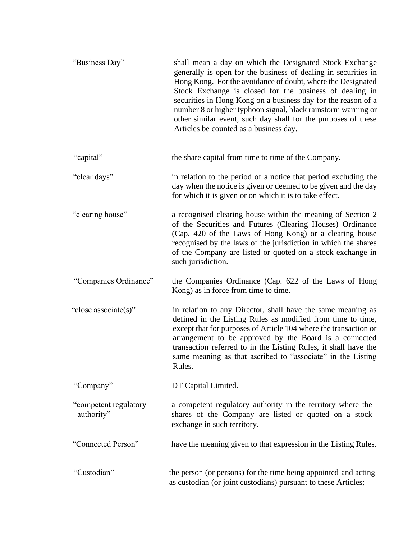| "Business Day"                      | shall mean a day on which the Designated Stock Exchange<br>generally is open for the business of dealing in securities in<br>Hong Kong. For the avoidance of doubt, where the Designated<br>Stock Exchange is closed for the business of dealing in<br>securities in Hong Kong on a business day for the reason of a<br>number 8 or higher typhoon signal, black rainstorm warning or<br>other similar event, such day shall for the purposes of these<br>Articles be counted as a business day. |
|-------------------------------------|--------------------------------------------------------------------------------------------------------------------------------------------------------------------------------------------------------------------------------------------------------------------------------------------------------------------------------------------------------------------------------------------------------------------------------------------------------------------------------------------------|
| "capital"                           | the share capital from time to time of the Company.                                                                                                                                                                                                                                                                                                                                                                                                                                              |
| "clear days"                        | in relation to the period of a notice that period excluding the<br>day when the notice is given or deemed to be given and the day<br>for which it is given or on which it is to take effect.                                                                                                                                                                                                                                                                                                     |
| "clearing house"                    | a recognised clearing house within the meaning of Section 2<br>of the Securities and Futures (Clearing Houses) Ordinance<br>(Cap. 420 of the Laws of Hong Kong) or a clearing house<br>recognised by the laws of the jurisdiction in which the shares<br>of the Company are listed or quoted on a stock exchange in<br>such jurisdiction.                                                                                                                                                        |
| "Companies Ordinance"               | the Companies Ordinance (Cap. 622 of the Laws of Hong<br>Kong) as in force from time to time.                                                                                                                                                                                                                                                                                                                                                                                                    |
| "close associate(s)"                | in relation to any Director, shall have the same meaning as<br>defined in the Listing Rules as modified from time to time,<br>except that for purposes of Article 104 where the transaction or<br>arrangement to be approved by the Board is a connected<br>transaction referred to in the Listing Rules, it shall have the<br>same meaning as that ascribed to "associate" in the Listing<br>Rules.                                                                                             |
| "Company"                           | DT Capital Limited.                                                                                                                                                                                                                                                                                                                                                                                                                                                                              |
| "competent regulatory<br>authority" | a competent regulatory authority in the territory where the<br>shares of the Company are listed or quoted on a stock<br>exchange in such territory.                                                                                                                                                                                                                                                                                                                                              |
| "Connected Person"                  | have the meaning given to that expression in the Listing Rules.                                                                                                                                                                                                                                                                                                                                                                                                                                  |
| "Custodian"                         | the person (or persons) for the time being appointed and acting<br>as custodian (or joint custodians) pursuant to these Articles;                                                                                                                                                                                                                                                                                                                                                                |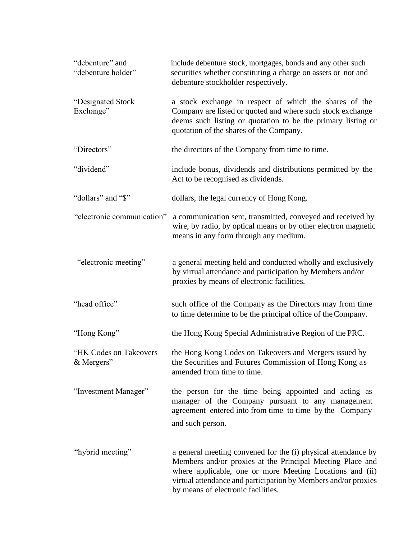| "debenture" and<br>"debenture holder" | include debenture stock, mortgages, bonds and any other such<br>securities whether constituting a charge on assets or not and<br>debenture stockholder respectively.                                                                                                                           |  |
|---------------------------------------|------------------------------------------------------------------------------------------------------------------------------------------------------------------------------------------------------------------------------------------------------------------------------------------------|--|
| "Designated Stock<br>Exchange"        | a stock exchange in respect of which the shares of the<br>Company are listed or quoted and where such stock exchange<br>deems such listing or quotation to be the primary listing or<br>quotation of the shares of the Company.                                                                |  |
| "Directors"                           | the directors of the Company from time to time.                                                                                                                                                                                                                                                |  |
| "dividend"                            | include bonus, dividends and distributions permitted by the<br>Act to be recognised as dividends.                                                                                                                                                                                              |  |
| "dollars" and "\$"                    | dollars, the legal currency of Hong Kong.                                                                                                                                                                                                                                                      |  |
| "electronic communication"            | a communication sent, transmitted, conveyed and received by<br>wire, by radio, by optical means or by other electron magnetic<br>means in any form through any medium.                                                                                                                         |  |
| "electronic meeting"                  | a general meeting held and conducted wholly and exclusively<br>by virtual attendance and participation by Members and/or<br>proxies by means of electronic facilities.                                                                                                                         |  |
| "head office"                         | such office of the Company as the Directors may from time<br>to time determine to be the principal office of the Company.                                                                                                                                                                      |  |
| "Hong Kong"                           | the Hong Kong Special Administrative Region of the PRC.                                                                                                                                                                                                                                        |  |
| "HK Codes on Takeovers<br>& Mergers"  | the Hong Kong Codes on Takeovers and Mergers issued by<br>the Securities and Futures Commission of Hong Kong as<br>amended from time to time.                                                                                                                                                  |  |
| "Investment Manager"                  | the person for the time being appointed and acting as<br>manager of the Company pursuant to any management<br>agreement entered into from time to time by the Company<br>and such person.                                                                                                      |  |
| "hybrid meeting"                      | a general meeting convened for the (i) physical attendance by<br>Members and/or proxies at the Principal Meeting Place and<br>where applicable, one or more Meeting Locations and (ii)<br>virtual attendance and participation by Members and/or proxies<br>by means of electronic facilities. |  |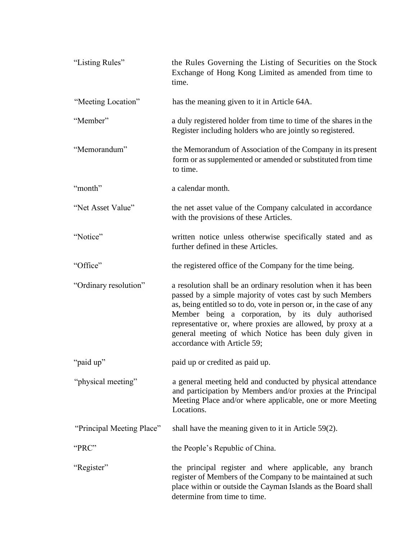| "Listing Rules"           | the Rules Governing the Listing of Securities on the Stock<br>Exchange of Hong Kong Limited as amended from time to<br>time.                                                                                                                                                                                                                                                                                   |  |
|---------------------------|----------------------------------------------------------------------------------------------------------------------------------------------------------------------------------------------------------------------------------------------------------------------------------------------------------------------------------------------------------------------------------------------------------------|--|
| "Meeting Location"        | has the meaning given to it in Article 64A.                                                                                                                                                                                                                                                                                                                                                                    |  |
| "Member"                  | a duly registered holder from time to time of the shares in the<br>Register including holders who are jointly so registered.                                                                                                                                                                                                                                                                                   |  |
| "Memorandum"              | the Memorandum of Association of the Company in its present<br>form or as supplemented or amended or substituted from time<br>to time.                                                                                                                                                                                                                                                                         |  |
| "month"                   | a calendar month.                                                                                                                                                                                                                                                                                                                                                                                              |  |
| "Net Asset Value"         | the net asset value of the Company calculated in accordance<br>with the provisions of these Articles.                                                                                                                                                                                                                                                                                                          |  |
| "Notice"                  | written notice unless otherwise specifically stated and as<br>further defined in these Articles.                                                                                                                                                                                                                                                                                                               |  |
| "Office"                  | the registered office of the Company for the time being.                                                                                                                                                                                                                                                                                                                                                       |  |
| "Ordinary resolution"     | a resolution shall be an ordinary resolution when it has been<br>passed by a simple majority of votes cast by such Members<br>as, being entitled so to do, vote in person or, in the case of any<br>Member being a corporation, by its duly authorised<br>representative or, where proxies are allowed, by proxy at a<br>general meeting of which Notice has been duly given in<br>accordance with Article 59; |  |
| "paid up"                 | paid up or credited as paid up.                                                                                                                                                                                                                                                                                                                                                                                |  |
| "physical meeting"        | a general meeting held and conducted by physical attendance<br>and participation by Members and/or proxies at the Principal<br>Meeting Place and/or where applicable, one or more Meeting<br>Locations.                                                                                                                                                                                                        |  |
| "Principal Meeting Place" | shall have the meaning given to it in Article $59(2)$ .                                                                                                                                                                                                                                                                                                                                                        |  |
| "PRC"                     | the People's Republic of China.                                                                                                                                                                                                                                                                                                                                                                                |  |
| "Register"                | the principal register and where applicable, any branch<br>register of Members of the Company to be maintained at such<br>place within or outside the Cayman Islands as the Board shall<br>determine from time to time.                                                                                                                                                                                        |  |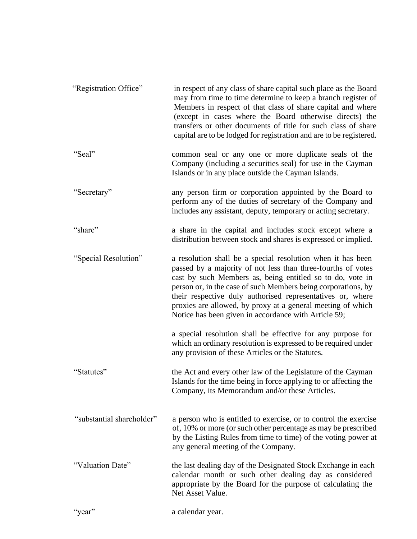| "Registration Office"     | in respect of any class of share capital such place as the Board<br>may from time to time determine to keep a branch register of<br>Members in respect of that class of share capital and where<br>(except in cases where the Board otherwise directs) the<br>transfers or other documents of title for such class of share<br>capital are to be lodged for registration and are to be registered.                                             |
|---------------------------|------------------------------------------------------------------------------------------------------------------------------------------------------------------------------------------------------------------------------------------------------------------------------------------------------------------------------------------------------------------------------------------------------------------------------------------------|
| "Seal"                    | common seal or any one or more duplicate seals of the<br>Company (including a securities seal) for use in the Cayman<br>Islands or in any place outside the Cayman Islands.                                                                                                                                                                                                                                                                    |
| "Secretary"               | any person firm or corporation appointed by the Board to<br>perform any of the duties of secretary of the Company and<br>includes any assistant, deputy, temporary or acting secretary.                                                                                                                                                                                                                                                        |
| "share"                   | a share in the capital and includes stock except where a<br>distribution between stock and shares is expressed or implied.                                                                                                                                                                                                                                                                                                                     |
| "Special Resolution"      | a resolution shall be a special resolution when it has been<br>passed by a majority of not less than three-fourths of votes<br>cast by such Members as, being entitled so to do, vote in<br>person or, in the case of such Members being corporations, by<br>their respective duly authorised representatives or, where<br>proxies are allowed, by proxy at a general meeting of which<br>Notice has been given in accordance with Article 59; |
|                           | a special resolution shall be effective for any purpose for<br>which an ordinary resolution is expressed to be required under<br>any provision of these Articles or the Statutes.                                                                                                                                                                                                                                                              |
| "Statutes"                | the Act and every other law of the Legislature of the Cayman<br>Islands for the time being in force applying to or affecting the<br>Company, its Memorandum and/or these Articles.                                                                                                                                                                                                                                                             |
| "substantial shareholder" | a person who is entitled to exercise, or to control the exercise<br>of, 10% or more (or such other percentage as may be prescribed<br>by the Listing Rules from time to time) of the voting power at<br>any general meeting of the Company.                                                                                                                                                                                                    |
| "Valuation Date"          | the last dealing day of the Designated Stock Exchange in each<br>calendar month or such other dealing day as considered<br>appropriate by the Board for the purpose of calculating the<br>Net Asset Value.                                                                                                                                                                                                                                     |
| "year"                    | a calendar year.                                                                                                                                                                                                                                                                                                                                                                                                                               |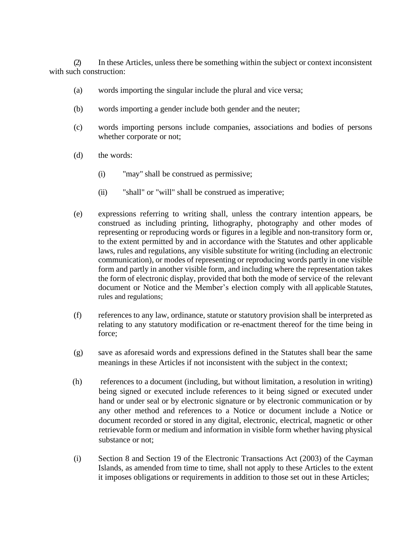(2) In these Articles, unless there be something within the subject or context inconsistent with such construction:

- (a) words importing the singular include the plural and vice versa;
- (b) words importing a gender include both gender and the neuter;
- (c) words importing persons include companies, associations and bodies of persons whether corporate or not;
- (d) the words:
	- (i) "may" shall be construed as permissive;
	- (ii) "shall" or "will" shall be construed as imperative;
- (e) expressions referring to writing shall, unless the contrary intention appears, be construed as including printing, lithography, photography and other modes of representing or reproducing words or figures in a legible and non-transitory form or, to the extent permitted by and in accordance with the Statutes and other applicable laws, rules and regulations, any visible substitute for writing (including an electronic communication), or modes of representing or reproducing words partly in one visible form and partly in another visible form, and including where the representation takes the form of electronic display, provided that both the mode of service of the relevant document or Notice and the Member's election comply with all applicable Statutes, rules and regulations;
- (f) references to any law, ordinance, statute or statutory provision shall be interpreted as relating to any statutory modification or re-enactment thereof for the time being in force;
- (g) save as aforesaid words and expressions defined in the Statutes shall bear the same meanings in these Articles if not inconsistent with the subject in the context;
- (h) references to a document (including, but without limitation, a resolution in writing) being signed or executed include references to it being signed or executed under hand or under seal or by electronic signature or by electronic communication or by any other method and references to a Notice or document include a Notice or document recorded or stored in any digital, electronic, electrical, magnetic or other retrievable form or medium and information in visible form whether having physical substance or not;
- (i) Section 8 and Section 19 of the Electronic Transactions Act (2003) of the Cayman Islands, as amended from time to time, shall not apply to these Articles to the extent it imposes obligations or requirements in addition to those set out in these Articles;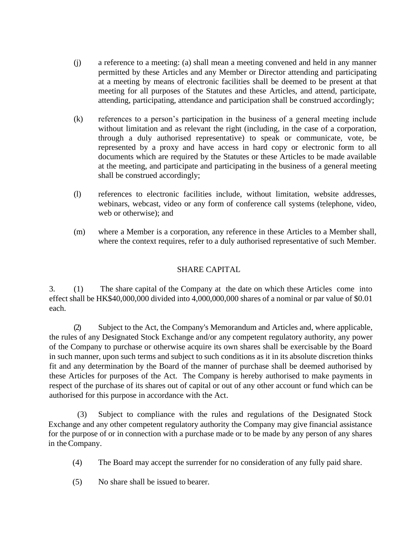- (j) a reference to a meeting: (a) shall mean a meeting convened and held in any manner permitted by these Articles and any Member or Director attending and participating at a meeting by means of electronic facilities shall be deemed to be present at that meeting for all purposes of the Statutes and these Articles, and attend, participate, attending, participating, attendance and participation shall be construed accordingly;
- (k) references to a person's participation in the business of a general meeting include without limitation and as relevant the right (including, in the case of a corporation, through a duly authorised representative) to speak or communicate, vote, be represented by a proxy and have access in hard copy or electronic form to all documents which are required by the Statutes or these Articles to be made available at the meeting, and participate and participating in the business of a general meeting shall be construed accordingly;
- (l) references to electronic facilities include, without limitation, website addresses, webinars, webcast, video or any form of conference call systems (telephone, video, web or otherwise); and
- (m) where a Member is a corporation, any reference in these Articles to a Member shall, where the context requires, refer to a duly authorised representative of such Member.

### SHARE CAPITAL

3. (1) The share capital of the Company at the date on which these Articles come into effect shall be HK\$40,000,000 divided into 4,000,000,000 shares of a nominal or par value of \$0.01 each.

(2) Subject to the Act, the Company's Memorandum and Articles and, where applicable, the rules of any Designated Stock Exchange and/or any competent regulatory authority, any power of the Company to purchase or otherwise acquire its own shares shall be exercisable by the Board in such manner, upon such terms and subject to such conditions as it in its absolute discretion thinks fit and any determination by the Board of the manner of purchase shall be deemed authorised by these Articles for purposes of the Act. The Company is hereby authorised to make payments in respect of the purchase of its shares out of capital or out of any other account or fund which can be authorised for this purpose in accordance with the Act.

(3) Subject to compliance with the rules and regulations of the Designated Stock Exchange and any other competent regulatory authority the Company may give financial assistance for the purpose of or in connection with a purchase made or to be made by any person of any shares in theCompany.

- (4) The Board may accept the surrender for no consideration of any fully paid share.
- (5) No share shall be issued to bearer.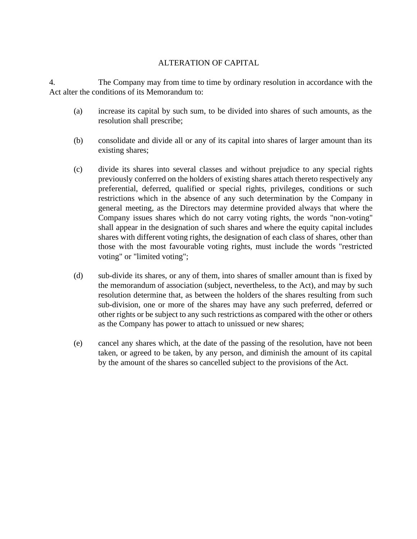### ALTERATION OF CAPITAL

4. The Company may from time to time by ordinary resolution in accordance with the Act alter the conditions of its Memorandum to:

- (a) increase its capital by such sum, to be divided into shares of such amounts, as the resolution shall prescribe;
- (b) consolidate and divide all or any of its capital into shares of larger amount than its existing shares;
- (c) divide its shares into several classes and without prejudice to any special rights previously conferred on the holders of existing shares attach thereto respectively any preferential, deferred, qualified or special rights, privileges, conditions or such restrictions which in the absence of any such determination by the Company in general meeting, as the Directors may determine provided always that where the Company issues shares which do not carry voting rights, the words "non-voting" shall appear in the designation of such shares and where the equity capital includes shares with different voting rights, the designation of each class of shares, other than those with the most favourable voting rights, must include the words "restricted voting" or "limited voting";
- (d) sub-divide its shares, or any of them, into shares of smaller amount than is fixed by the memorandum of association (subject, nevertheless, to the Act), and may by such resolution determine that, as between the holders of the shares resulting from such sub-division, one or more of the shares may have any such preferred, deferred or other rights or be subject to any such restrictions as compared with the other or others as the Company has power to attach to unissued or new shares;
- (e) cancel any shares which, at the date of the passing of the resolution, have not been taken, or agreed to be taken, by any person, and diminish the amount of its capital by the amount of the shares so cancelled subject to the provisions of the Act.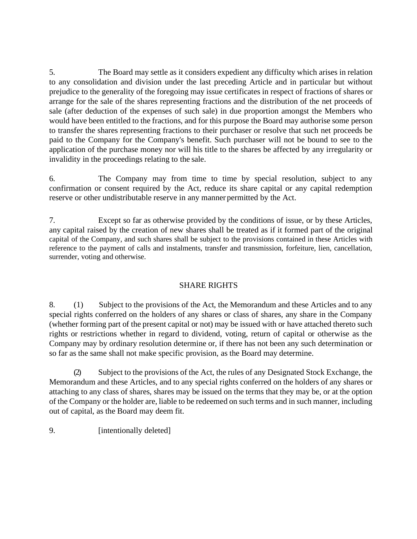5. The Board may settle as it considers expedient any difficulty which arises in relation to any consolidation and division under the last preceding Article and in particular but without prejudice to the generality of the foregoing may issue certificates in respect of fractions of shares or arrange for the sale of the shares representing fractions and the distribution of the net proceeds of sale (after deduction of the expenses of such sale) in due proportion amongst the Members who would have been entitled to the fractions, and for this purpose the Board may authorise some person to transfer the shares representing fractions to their purchaser or resolve that such net proceeds be paid to the Company for the Company's benefit. Such purchaser will not be bound to see to the application of the purchase money nor will his title to the shares be affected by any irregularity or invalidity in the proceedings relating to the sale.

6. The Company may from time to time by special resolution, subject to any confirmation or consent required by the Act, reduce its share capital or any capital redemption reserve or other undistributable reserve in any manner permitted by the Act.

7. Except so far as otherwise provided by the conditions of issue, or by these Articles, any capital raised by the creation of new shares shall be treated as if it formed part of the original capital of the Company, and such shares shall be subject to the provisions contained in these Articles with reference to the payment of calls and instalments, transfer and transmission, forfeiture, lien, cancellation, surrender, voting and otherwise.

### SHARE RIGHTS

8. (1) Subject to the provisions of the Act, the Memorandum and these Articles and to any special rights conferred on the holders of any shares or class of shares, any share in the Company (whether forming part of the present capital or not) may be issued with or have attached thereto such rights or restrictions whether in regard to dividend, voting, return of capital or otherwise as the Company may by ordinary resolution determine or, if there has not been any such determination or so far as the same shall not make specific provision, as the Board may determine.

(2) Subject to the provisions of the Act, the rules of any Designated Stock Exchange, the Memorandum and these Articles, and to any special rights conferred on the holders of any shares or attaching to any class of shares, shares may be issued on the terms that they may be, or at the option of the Company or the holder are, liable to be redeemed on such terms and in such manner, including out of capital, as the Board may deem fit.

9. [intentionally deleted]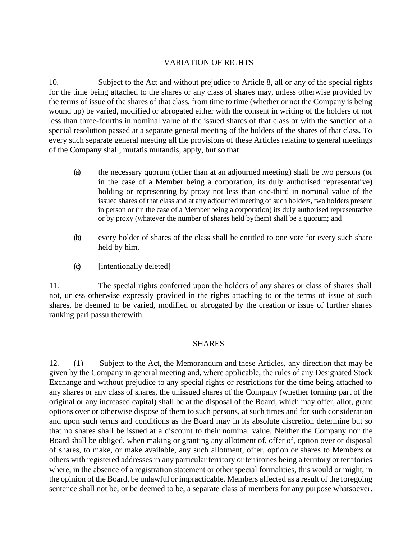### VARIATION OF RIGHTS

10. Subject to the Act and without prejudice to Article 8, all or any of the special rights for the time being attached to the shares or any class of shares may, unless otherwise provided by the terms of issue of the shares of that class, from time to time (whether or not the Company is being wound up) be varied, modified or abrogated either with the consent in writing of the holders of not less than three-fourths in nominal value of the issued shares of that class or with the sanction of a special resolution passed at a separate general meeting of the holders of the shares of that class. To every such separate general meeting all the provisions of these Articles relating to general meetings of the Company shall, mutatis mutandis, apply, but so that:

- (a) the necessary quorum (other than at an adjourned meeting) shall be two persons (or in the case of a Member being a corporation, its duly authorised representative) holding or representing by proxy not less than one-third in nominal value of the issued shares of that class and at any adjourned meeting of such holders, two holders present in person or (in the case of a Member being a corporation) its duly authorised representative or by proxy (whatever the number of shares held bythem) shall be a quorum; and
- (b) every holder of shares of the class shall be entitled to one vote for every such share held by him.
- (c) [intentionally deleted]

11. The special rights conferred upon the holders of any shares or class of shares shall not, unless otherwise expressly provided in the rights attaching to or the terms of issue of such shares, be deemed to be varied, modified or abrogated by the creation or issue of further shares ranking pari passu therewith.

### **SHARES**

12. (1) Subject to the Act, the Memorandum and these Articles, any direction that may be given by the Company in general meeting and, where applicable, the rules of any Designated Stock Exchange and without prejudice to any special rights or restrictions for the time being attached to any shares or any class of shares, the unissued shares of the Company (whether forming part of the original or any increased capital) shall be at the disposal of the Board, which may offer, allot, grant options over or otherwise dispose of them to such persons, at such times and for such consideration and upon such terms and conditions as the Board may in its absolute discretion determine but so that no shares shall be issued at a discount to their nominal value. Neither the Company nor the Board shall be obliged, when making or granting any allotment of, offer of, option over or disposal of shares, to make, or make available, any such allotment, offer, option or shares to Members or others with registered addresses in any particular territory or territories being a territory or territories where, in the absence of a registration statement or other special formalities, this would or might, in the opinion of the Board, be unlawful or impracticable. Members affected as a result of the foregoing sentence shall not be, or be deemed to be, a separate class of members for any purpose whatsoever.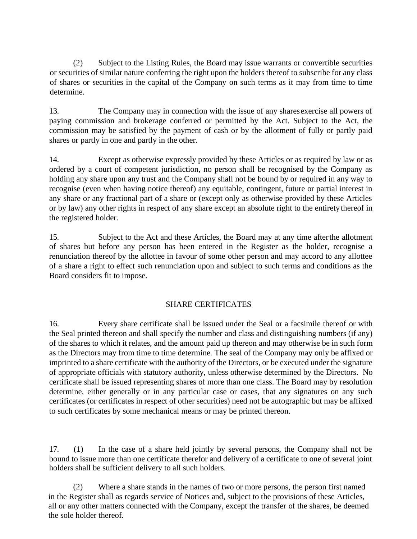(2) Subject to the Listing Rules, the Board may issue warrants or convertible securities or securities of similar nature conferring the right upon the holders thereof to subscribe for any class of shares or securities in the capital of the Company on such terms as it may from time to time determine.

13. The Company may in connection with the issue of any sharesexercise all powers of paying commission and brokerage conferred or permitted by the Act. Subject to the Act, the commission may be satisfied by the payment of cash or by the allotment of fully or partly paid shares or partly in one and partly in the other.

14. Except as otherwise expressly provided by these Articles or as required by law or as ordered by a court of competent jurisdiction, no person shall be recognised by the Company as holding any share upon any trust and the Company shall not be bound by or required in any way to recognise (even when having notice thereof) any equitable, contingent, future or partial interest in any share or any fractional part of a share or (except only as otherwise provided by these Articles or by law) any other rights in respect of any share except an absolute right to the entirety thereof in the registered holder.

15. Subject to the Act and these Articles, the Board may at any time afterthe allotment of shares but before any person has been entered in the Register as the holder, recognise a renunciation thereof by the allottee in favour of some other person and may accord to any allottee of a share a right to effect such renunciation upon and subject to such terms and conditions as the Board considers fit to impose.

# SHARE CERTIFICATES

16. Every share certificate shall be issued under the Seal or a facsimile thereof or with the Seal printed thereon and shall specify the number and class and distinguishing numbers (if any) of the shares to which it relates, and the amount paid up thereon and may otherwise be in such form as the Directors may from time to time determine. The seal of the Company may only be affixed or imprinted to a share certificate with the authority of the Directors, or be executed under the signature of appropriate officials with statutory authority, unless otherwise determined by the Directors. No certificate shall be issued representing shares of more than one class. The Board may by resolution determine, either generally or in any particular case or cases, that any signatures on any such certificates (or certificates in respect of other securities) need not be autographic but may be affixed to such certificates by some mechanical means or may be printed thereon.

17. (1) In the case of a share held jointly by several persons, the Company shall not be bound to issue more than one certificate therefor and delivery of a certificate to one of several joint holders shall be sufficient delivery to all such holders.

(2) Where a share stands in the names of two or more persons, the person first named in the Register shall as regards service of Notices and, subject to the provisions of these Articles, all or any other matters connected with the Company, except the transfer of the shares, be deemed the sole holder thereof.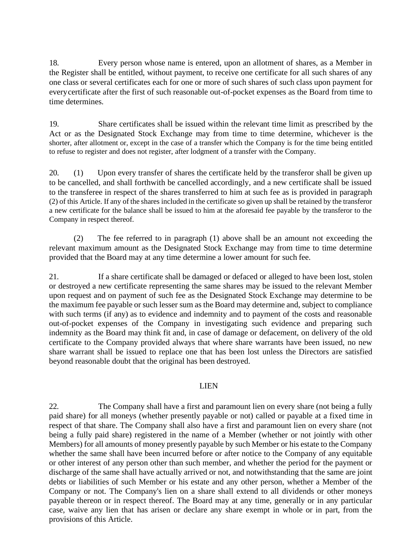18. Every person whose name is entered, upon an allotment of shares, as a Member in the Register shall be entitled, without payment, to receive one certificate for all such shares of any one class or several certificates each for one or more of such shares of such class upon payment for everycertificate after the first of such reasonable out-of-pocket expenses as the Board from time to time determines.

19. Share certificates shall be issued within the relevant time limit as prescribed by the Act or as the Designated Stock Exchange may from time to time determine, whichever is the shorter, after allotment or, except in the case of a transfer which the Company is for the time being entitled to refuse to register and does not register, after lodgment of a transfer with the Company.

20. (1) Upon every transfer of shares the certificate held by the transferor shall be given up to be cancelled, and shall forthwith be cancelled accordingly, and a new certificate shall be issued to the transferee in respect of the shares transferred to him at such fee as is provided in paragraph (2) of this Article. If any of the shares included in the certificate so given up shall be retained by the transferor a new certificate for the balance shall be issued to him at the aforesaid fee payable by the transferor to the Company in respect thereof.

(2) The fee referred to in paragraph (1) above shall be an amount not exceeding the relevant maximum amount as the Designated Stock Exchange may from time to time determine provided that the Board may at any time determine a lower amount for such fee.

21. If a share certificate shall be damaged or defaced or alleged to have been lost, stolen or destroyed a new certificate representing the same shares may be issued to the relevant Member upon request and on payment of such fee as the Designated Stock Exchange may determine to be the maximum fee payable or such lesser sum as the Board may determine and, subject to compliance with such terms (if any) as to evidence and indemnity and to payment of the costs and reasonable out-of-pocket expenses of the Company in investigating such evidence and preparing such indemnity as the Board may think fit and, in case of damage or defacement, on delivery of the old certificate to the Company provided always that where share warrants have been issued, no new share warrant shall be issued to replace one that has been lost unless the Directors are satisfied beyond reasonable doubt that the original has been destroyed.

### LIEN

22. The Company shall have a first and paramount lien on every share (not being a fully paid share) for all moneys (whether presently payable or not) called or payable at a fixed time in respect of that share. The Company shall also have a first and paramount lien on every share (not being a fully paid share) registered in the name of a Member (whether or not jointly with other Members) for all amounts of money presently payable by such Member or his estate to the Company whether the same shall have been incurred before or after notice to the Company of any equitable or other interest of any person other than such member, and whether the period for the payment or discharge of the same shall have actually arrived or not, and notwithstanding that the same are joint debts or liabilities of such Member or his estate and any other person, whether a Member of the Company or not. The Company's lien on a share shall extend to all dividends or other moneys payable thereon or in respect thereof. The Board may at any time, generally or in any particular case, waive any lien that has arisen or declare any share exempt in whole or in part, from the provisions of this Article.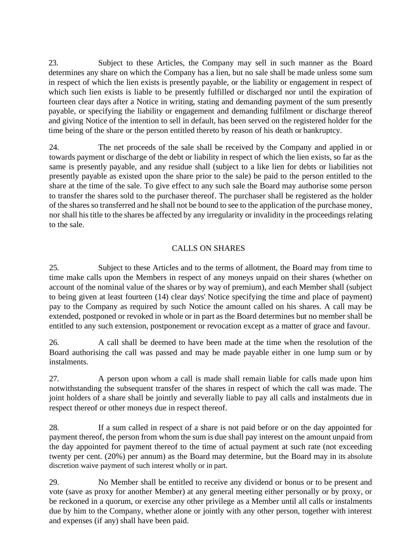23. Subject to these Articles, the Company may sell in such manner as the Board determines any share on which the Company has a lien, but no sale shall be made unless some sum in respect of which the lien exists is presently payable, or the liability or engagement in respect of which such lien exists is liable to be presently fulfilled or discharged nor until the expiration of fourteen clear days after a Notice in writing, stating and demanding payment of the sum presently payable, or specifying the liability or engagement and demanding fulfilment or discharge thereof and giving Notice of the intention to sell in default, has been served on the registered holder for the time being of the share or the person entitled thereto by reason of his death or bankruptcy.

24. The net proceeds of the sale shall be received by the Company and applied in or towards payment or discharge of the debt or liability in respect of which the lien exists, so far as the same is presently payable, and any residue shall (subject to a like lien for debts or liabilities not presently payable as existed upon the share prior to the sale) be paid to the person entitled to the share at the time of the sale. To give effect to any such sale the Board may authorise some person to transfer the shares sold to the purchaser thereof. The purchaser shall be registered as the holder of the shares so transferred and he shall not be bound to see to the application of the purchase money, nor shall his title to the shares be affected by any irregularity or invalidity in the proceedings relating to the sale.

## CALLS ON SHARES

25. Subject to these Articles and to the terms of allotment, the Board may from time to time make calls upon the Members in respect of any moneys unpaid on their shares (whether on account of the nominal value of the shares or by way of premium), and each Member shall (subject to being given at least fourteen (14) clear days' Notice specifying the time and place of payment) pay to the Company as required by such Notice the amount called on his shares. A call may be extended, postponed or revoked in whole or in part as the Board determines but no member shall be entitled to any such extension, postponement or revocation except as a matter of grace and favour.

26. A call shall be deemed to have been made at the time when the resolution of the Board authorising the call was passed and may be made payable either in one lump sum or by instalments.

27. A person upon whom a call is made shall remain liable for calls made upon him notwithstanding the subsequent transfer of the shares in respect of which the call was made. The joint holders of a share shall be jointly and severally liable to pay all calls and instalments due in respect thereof or other moneys due in respect thereof.

28. If a sum called in respect of a share is not paid before or on the day appointed for payment thereof, the person from whom the sum is due shall pay interest on the amount unpaid from the day appointed for payment thereof to the time of actual payment at such rate (not exceeding twenty per cent. (20%) per annum) as the Board may determine, but the Board may in its absolute discretion waive payment of such interest wholly or in part.

29. No Member shall be entitled to receive any dividend or bonus or to be present and vote (save as proxy for another Member) at any general meeting either personally or by proxy, or be reckoned in a quorum, or exercise any other privilege as a Member until all calls or instalments due by him to the Company, whether alone or jointly with any other person, together with interest and expenses (if any) shall have been paid.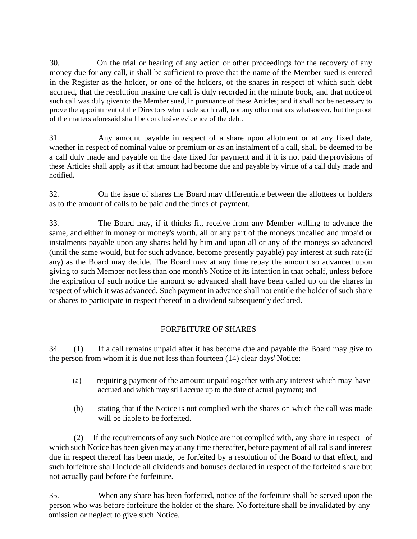30. On the trial or hearing of any action or other proceedings for the recovery of any money due for any call, it shall be sufficient to prove that the name of the Member sued is entered in the Register as the holder, or one of the holders, of the shares in respect of which such debt accrued, that the resolution making the call is duly recorded in the minute book, and that notice of such call was duly given to the Member sued, in pursuance of these Articles; and it shall not be necessary to prove the appointment of the Directors who made such call, nor any other matters whatsoever, but the proof of the matters aforesaid shall be conclusive evidence of the debt.

31. Any amount payable in respect of a share upon allotment or at any fixed date, whether in respect of nominal value or premium or as an instalment of a call, shall be deemed to be a call duly made and payable on the date fixed for payment and if it is not paid the provisions of these Articles shall apply as if that amount had become due and payable by virtue of a call duly made and notified.

32. On the issue of shares the Board may differentiate between the allottees or holders as to the amount of calls to be paid and the times of payment.

33. The Board may, if it thinks fit, receive from any Member willing to advance the same, and either in money or money's worth, all or any part of the moneys uncalled and unpaid or instalments payable upon any shares held by him and upon all or any of the moneys so advanced (until the same would, but for such advance, become presently payable) pay interest at such rate(if any) as the Board may decide. The Board may at any time repay the amount so advanced upon giving to such Member not less than one month's Notice of its intention in that behalf, unless before the expiration of such notice the amount so advanced shall have been called up on the shares in respect of which it was advanced. Such payment in advance shall not entitle the holder of such share or shares to participate in respect thereof in a dividend subsequently declared.

# FORFEITURE OF SHARES

34. (1) If a call remains unpaid after it has become due and payable the Board may give to the person from whom it is due not less than fourteen (14) clear days' Notice:

- (a) requiring payment of the amount unpaid together with any interest which may have accrued and which may still accrue up to the date of actual payment; and
- (b) stating that if the Notice is not complied with the shares on which the call was made will be liable to be forfeited.

(2) If the requirements of any such Notice are not complied with, any share in respect of which such Notice has been given may at any time thereafter, before payment of all calls and interest due in respect thereof has been made, be forfeited by a resolution of the Board to that effect, and such forfeiture shall include all dividends and bonuses declared in respect of the forfeited share but not actually paid before the forfeiture.

35. When any share has been forfeited, notice of the forfeiture shall be served upon the person who was before forfeiture the holder of the share. No forfeiture shall be invalidated by any omission or neglect to give such Notice.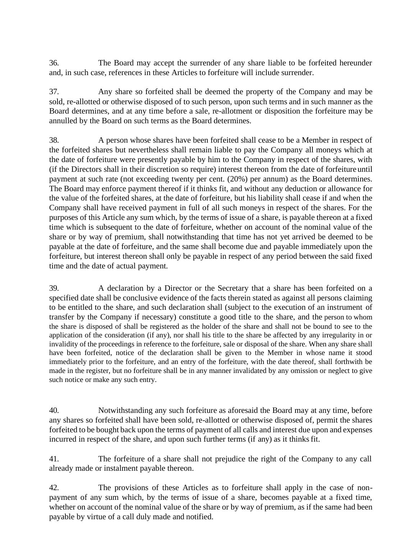36. The Board may accept the surrender of any share liable to be forfeited hereunder and, in such case, references in these Articles to forfeiture will include surrender.

37. Any share so forfeited shall be deemed the property of the Company and may be sold, re-allotted or otherwise disposed of to such person, upon such terms and in such manner as the Board determines, and at any time before a sale, re-allotment or disposition the forfeiture may be annulled by the Board on such terms as the Board determines.

38. A person whose shares have been forfeited shall cease to be a Member in respect of the forfeited shares but nevertheless shall remain liable to pay the Company all moneys which at the date of forfeiture were presently payable by him to the Company in respect of the shares, with (if the Directors shall in their discretion so require) interest thereon from the date of forfeiture until payment at such rate (not exceeding twenty per cent. (20%) per annum) as the Board determines. The Board may enforce payment thereof if it thinks fit, and without any deduction or allowance for the value of the forfeited shares, at the date of forfeiture, but his liability shall cease if and when the Company shall have received payment in full of all such moneys in respect of the shares. For the purposes of this Article any sum which, by the terms of issue of a share, is payable thereon at a fixed time which is subsequent to the date of forfeiture, whether on account of the nominal value of the share or by way of premium, shall notwithstanding that time has not yet arrived be deemed to be payable at the date of forfeiture, and the same shall become due and payable immediately upon the forfeiture, but interest thereon shall only be payable in respect of any period between the said fixed time and the date of actual payment.

39. A declaration by a Director or the Secretary that a share has been forfeited on a specified date shall be conclusive evidence of the facts therein stated as against all persons claiming to be entitled to the share, and such declaration shall (subject to the execution of an instrument of transfer by the Company if necessary) constitute a good title to the share, and the person to whom the share is disposed of shall be registered as the holder of the share and shall not be bound to see to the application of the consideration (if any), nor shall his title to the share be affected by any irregularity in or invalidity of the proceedings in reference to the forfeiture, sale or disposal of the share. When any share shall have been forfeited, notice of the declaration shall be given to the Member in whose name it stood immediately prior to the forfeiture, and an entry of the forfeiture, with the date thereof, shall forthwith be made in the register, but no forfeiture shall be in any manner invalidated by any omission or neglect to give such notice or make any such entry.

40. Notwithstanding any such forfeiture as aforesaid the Board may at any time, before any shares so forfeited shall have been sold, re-allotted or otherwise disposed of, permit the shares forfeited to be bought back upon the terms of payment of all calls and interest due upon and expenses incurred in respect of the share, and upon such further terms (if any) as it thinks fit.

41. The forfeiture of a share shall not prejudice the right of the Company to any call already made or instalment payable thereon.

42. The provisions of these Articles as to forfeiture shall apply in the case of nonpayment of any sum which, by the terms of issue of a share, becomes payable at a fixed time, whether on account of the nominal value of the share or by way of premium, as if the same had been payable by virtue of a call duly made and notified.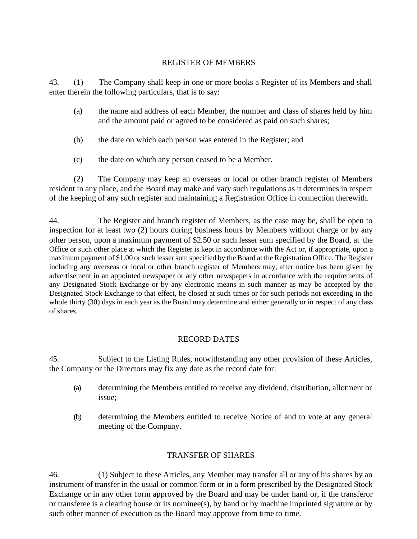### REGISTER OF MEMBERS

43. (1) The Company shall keep in one or more books a Register of its Members and shall enter therein the following particulars, that is to say:

- (a) the name and address of each Member, the number and class of shares held by him and the amount paid or agreed to be considered as paid on such shares;
- (b) the date on which each person was entered in the Register; and
- (c) the date on which any person ceased to be a Member.

(2) The Company may keep an overseas or local or other branch register of Members resident in any place, and the Board may make and vary such regulations as it determines in respect of the keeping of any such register and maintaining a Registration Office in connection therewith.

44. The Register and branch register of Members, as the case may be, shall be open to inspection for at least two (2) hours during business hours by Members without charge or by any other person, upon a maximum payment of \$2.50 or such lesser sum specified by the Board, at the Office or such other place at which the Register is kept in accordance with the Act or, if appropriate, upon a maximum payment of \$1.00 or such lesser sum specified by the Board at the Registration Office. The Register including any overseas or local or other branch register of Members may, after notice has been given by advertisement in an appointed newspaper or any other newspapers in accordance with the requirements of any Designated Stock Exchange or by any electronic means in such manner as may be accepted by the Designated Stock Exchange to that effect, be closed at such times or for such periods not exceeding in the whole thirty (30) days in each year as the Board may determine and either generally or in respect of any class of shares.

### RECORD DATES

45. Subject to the Listing Rules, notwithstanding any other provision of these Articles, the Company or the Directors may fix any date as the record date for:

- (a) determining the Members entitled to receive any dividend, distribution, allotment or issue;
- (b) determining the Members entitled to receive Notice of and to vote at any general meeting of the Company.

# TRANSFER OF SHARES

46. (1) Subject to these Articles, any Member may transfer all or any of his shares by an instrument of transfer in the usual or common form or in a form prescribed by the Designated Stock Exchange or in any other form approved by the Board and may be under hand or, if the transferor or transferee is a clearing house or its nominee(s), by hand or by machine imprinted signature or by such other manner of execution as the Board may approve from time to time.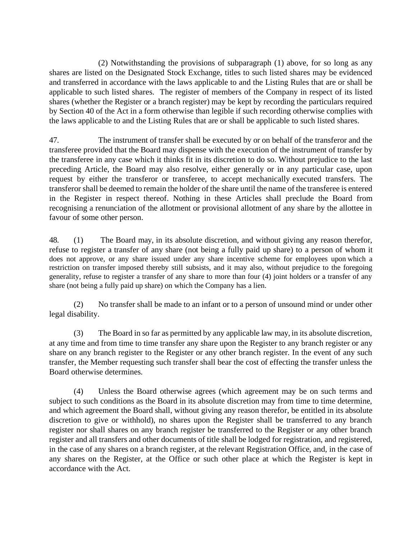(2) Notwithstanding the provisions of subparagraph (1) above, for so long as any shares are listed on the Designated Stock Exchange, titles to such listed shares may be evidenced and transferred in accordance with the laws applicable to and the Listing Rules that are or shall be applicable to such listed shares. The register of members of the Company in respect of its listed shares (whether the Register or a branch register) may be kept by recording the particulars required by Section 40 of the Act in a form otherwise than legible if such recording otherwise complies with the laws applicable to and the Listing Rules that are or shall be applicable to such listed shares.

47. The instrument of transfer shall be executed by or on behalf of the transferor and the transferee provided that the Board may dispense with the execution of the instrument of transfer by the transferee in any case which it thinks fit in its discretion to do so. Without prejudice to the last preceding Article, the Board may also resolve, either generally or in any particular case, upon request by either the transferor or transferee, to accept mechanically executed transfers. The transferor shall be deemed to remain the holder of the share until the name of the transferee is entered in the Register in respect thereof. Nothing in these Articles shall preclude the Board from recognising a renunciation of the allotment or provisional allotment of any share by the allottee in favour of some other person.

48. (1) The Board may, in its absolute discretion, and without giving any reason therefor, refuse to register a transfer of any share (not being a fully paid up share) to a person of whom it does not approve, or any share issued under any share incentive scheme for employees upon which a restriction on transfer imposed thereby still subsists, and it may also, without prejudice to the foregoing generality, refuse to register a transfer of any share to more than four (4) joint holders or a transfer of any share (not being a fully paid up share) on which the Company has a lien.

(2) No transfer shall be made to an infant or to a person of unsound mind or under other legal disability.

(3) The Board in so far as permitted by any applicable law may, in its absolute discretion, at any time and from time to time transfer any share upon the Register to any branch register or any share on any branch register to the Register or any other branch register. In the event of any such transfer, the Member requesting such transfer shall bear the cost of effecting the transfer unless the Board otherwise determines.

(4) Unless the Board otherwise agrees (which agreement may be on such terms and subject to such conditions as the Board in its absolute discretion may from time to time determine, and which agreement the Board shall, without giving any reason therefor, be entitled in its absolute discretion to give or withhold), no shares upon the Register shall be transferred to any branch register nor shall shares on any branch register be transferred to the Register or any other branch register and all transfers and other documents of title shall be lodged for registration, and registered, in the case of any shares on a branch register, at the relevant Registration Office, and, in the case of any shares on the Register, at the Office or such other place at which the Register is kept in accordance with the Act.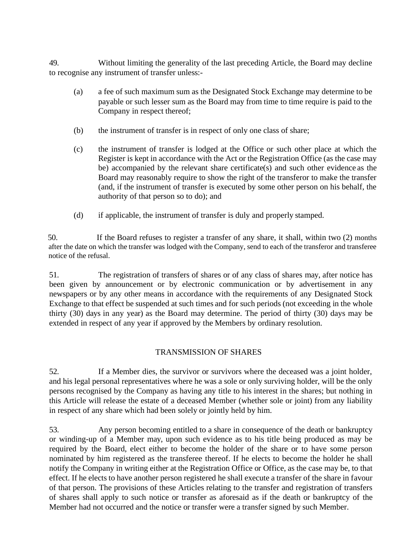49. Without limiting the generality of the last preceding Article, the Board may decline to recognise any instrument of transfer unless:-

- (a) a fee of such maximum sum as the Designated Stock Exchange may determine to be payable or such lesser sum as the Board may from time to time require is paid to the Company in respect thereof;
- (b) the instrument of transfer is in respect of only one class of share;
- (c) the instrument of transfer is lodged at the Office or such other place at which the Register is kept in accordance with the Act or the Registration Office (as the case may be) accompanied by the relevant share certificate(s) and such other evidence as the Board may reasonably require to show the right of the transferor to make the transfer (and, if the instrument of transfer is executed by some other person on his behalf, the authority of that person so to do); and
- (d) if applicable, the instrument of transfer is duly and properly stamped.

50. If the Board refuses to register a transfer of any share, it shall, within two (2) months after the date on which the transfer was lodged with the Company, send to each of the transferor and transferee notice of the refusal.

51. The registration of transfers of shares or of any class of shares may, after notice has been given by announcement or by electronic communication or by advertisement in any newspapers or by any other means in accordance with the requirements of any Designated Stock Exchange to that effect be suspended at such times and for such periods (not exceeding in the whole thirty (30) days in any year) as the Board may determine. The period of thirty (30) days may be extended in respect of any year if approved by the Members by ordinary resolution.

### TRANSMISSION OF SHARES

52. If a Member dies, the survivor or survivors where the deceased was a joint holder, and his legal personal representatives where he was a sole or only surviving holder, will be the only persons recognised by the Company as having any title to his interest in the shares; but nothing in this Article will release the estate of a deceased Member (whether sole or joint) from any liability in respect of any share which had been solely or jointly held by him.

53. Any person becoming entitled to a share in consequence of the death or bankruptcy or winding-up of a Member may, upon such evidence as to his title being produced as may be required by the Board, elect either to become the holder of the share or to have some person nominated by him registered as the transferee thereof. If he elects to become the holder he shall notify the Company in writing either at the Registration Office or Office, as the case may be, to that effect. If he elects to have another person registered he shall execute a transfer of the share in favour of that person. The provisions of these Articles relating to the transfer and registration of transfers of shares shall apply to such notice or transfer as aforesaid as if the death or bankruptcy of the Member had not occurred and the notice or transfer were a transfer signed by such Member.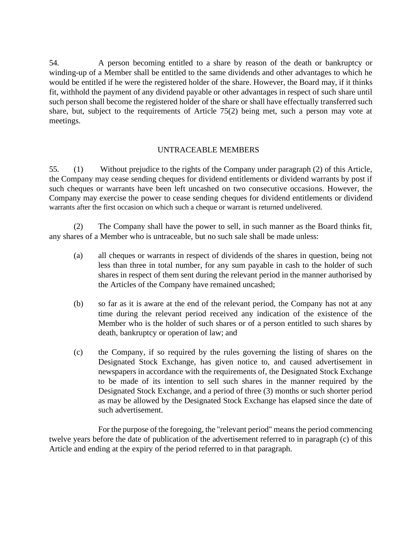54. A person becoming entitled to a share by reason of the death or bankruptcy or winding-up of a Member shall be entitled to the same dividends and other advantages to which he would be entitled if he were the registered holder of the share. However, the Board may, if it thinks fit, withhold the payment of any dividend payable or other advantages in respect of such share until such person shall become the registered holder of the share or shall have effectually transferred such share, but, subject to the requirements of Article 75(2) being met, such a person may vote at meetings.

### UNTRACEABLE MEMBERS

55. (1) Without prejudice to the rights of the Company under paragraph (2) of this Article, the Company may cease sending cheques for dividend entitlements or dividend warrants by post if such cheques or warrants have been left uncashed on two consecutive occasions. However, the Company may exercise the power to cease sending cheques for dividend entitlements or dividend warrants after the first occasion on which such a cheque or warrant is returned undelivered.

(2) The Company shall have the power to sell, in such manner as the Board thinks fit, any shares of a Member who is untraceable, but no such sale shall be made unless:

- (a) all cheques or warrants in respect of dividends of the shares in question, being not less than three in total number, for any sum payable in cash to the holder of such shares in respect of them sent during the relevant period in the manner authorised by the Articles of the Company have remained uncashed;
- (b) so far as it is aware at the end of the relevant period, the Company has not at any time during the relevant period received any indication of the existence of the Member who is the holder of such shares or of a person entitled to such shares by death, bankruptcy or operation of law; and
- (c) the Company, if so required by the rules governing the listing of shares on the Designated Stock Exchange, has given notice to, and caused advertisement in newspapers in accordance with the requirements of, the Designated Stock Exchange to be made of its intention to sell such shares in the manner required by the Designated Stock Exchange, and a period of three (3) months or such shorter period as may be allowed by the Designated Stock Exchange has elapsed since the date of such advertisement.

For the purpose of the foregoing, the "relevant period" means the period commencing twelve years before the date of publication of the advertisement referred to in paragraph (c) of this Article and ending at the expiry of the period referred to in that paragraph.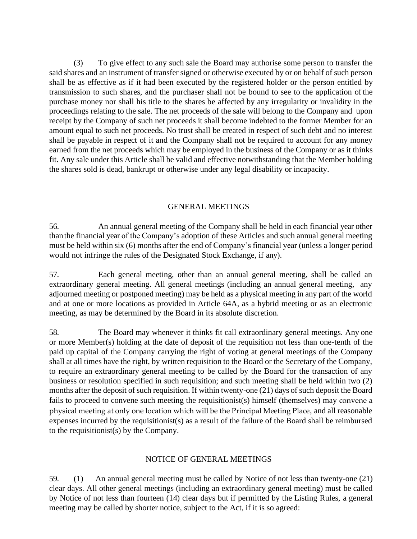(3) To give effect to any such sale the Board may authorise some person to transfer the said shares and an instrument of transfer signed or otherwise executed by or on behalf of such person shall be as effective as if it had been executed by the registered holder or the person entitled by transmission to such shares, and the purchaser shall not be bound to see to the application of the purchase money nor shall his title to the shares be affected by any irregularity or invalidity in the proceedings relating to the sale. The net proceeds of the sale will belong to the Company and upon receipt by the Company of such net proceeds it shall become indebted to the former Member for an amount equal to such net proceeds. No trust shall be created in respect of such debt and no interest shall be payable in respect of it and the Company shall not be required to account for any money earned from the net proceeds which may be employed in the business of the Company or as it thinks fit. Any sale under this Article shall be valid and effective notwithstanding that the Member holding the shares sold is dead, bankrupt or otherwise under any legal disability or incapacity.

### GENERAL MEETINGS

56. An annual general meeting of the Company shall be held in each financial year other thanthe financial year of the Company's adoption of these Articles and such annual general meeting must be held within six (6) months after the end of Company's financial year (unless a longer period would not infringe the rules of the Designated Stock Exchange, if any).

57. Each general meeting, other than an annual general meeting, shall be called an extraordinary general meeting. All general meetings (including an annual general meeting, any adjourned meeting or postponed meeting) may be held as a physical meeting in any part of the world and at one or more locations as provided in Article 64A, as a hybrid meeting or as an electronic meeting, as may be determined by the Board in its absolute discretion.

58. The Board may whenever it thinks fit call extraordinary general meetings. Any one or more Member(s) holding at the date of deposit of the requisition not less than one-tenth of the paid up capital of the Company carrying the right of voting at general meetings of the Company shall at all times have the right, by written requisition to the Board or the Secretary of the Company, to require an extraordinary general meeting to be called by the Board for the transaction of any business or resolution specified in such requisition; and such meeting shall be held within two (2) months after the deposit of such requisition. If within twenty-one (21) days of such deposit the Board fails to proceed to convene such meeting the requisitionist(s) himself (themselves) may convene a physical meeting at only one location which will be the Principal Meeting Place, and all reasonable expenses incurred by the requisitionist(s) as a result of the failure of the Board shall be reimbursed to the requisitionist(s) by the Company.

### NOTICE OF GENERAL MEETINGS

59. (1) An annual general meeting must be called by Notice of not less than twenty-one (21) clear days. All other general meetings (including an extraordinary general meeting) must be called by Notice of not less than fourteen (14) clear days but if permitted by the Listing Rules, a general meeting may be called by shorter notice, subject to the Act, if it is so agreed: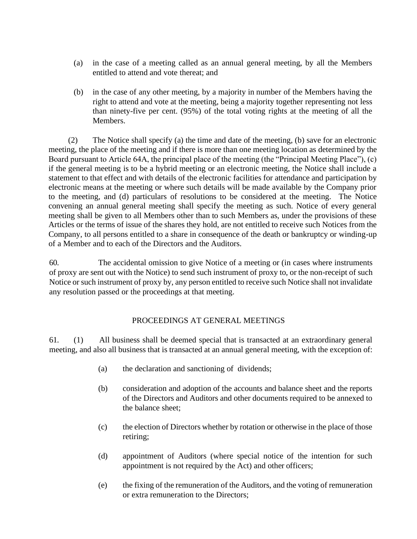- (a) in the case of a meeting called as an annual general meeting, by all the Members entitled to attend and vote thereat; and
- (b) in the case of any other meeting, by a majority in number of the Members having the right to attend and vote at the meeting, being a majority together representing not less than ninety-five per cent. (95%) of the total voting rights at the meeting of all the Members.

(2) The Notice shall specify (a) the time and date of the meeting, (b) save for an electronic meeting, the place of the meeting and if there is more than one meeting location as determined by the Board pursuant to Article 64A, the principal place of the meeting (the "Principal Meeting Place"), (c) if the general meeting is to be a hybrid meeting or an electronic meeting, the Notice shall include a statement to that effect and with details of the electronic facilities for attendance and participation by electronic means at the meeting or where such details will be made available by the Company prior to the meeting, and (d) particulars of resolutions to be considered at the meeting. The Notice convening an annual general meeting shall specify the meeting as such. Notice of every general meeting shall be given to all Members other than to such Members as, under the provisions of these Articles or the terms of issue of the shares they hold, are not entitled to receive such Notices from the Company, to all persons entitled to a share in consequence of the death or bankruptcy or winding-up of a Member and to each of the Directors and the Auditors.

60. The accidental omission to give Notice of a meeting or (in cases where instruments of proxy are sent out with the Notice) to send such instrument of proxy to, or the non-receipt of such Notice or such instrument of proxy by, any person entitled to receive such Notice shall not invalidate any resolution passed or the proceedings at that meeting.

### PROCEEDINGS AT GENERAL MEETINGS

61. (1) All business shall be deemed special that is transacted at an extraordinary general meeting, and also all business that is transacted at an annual general meeting, with the exception of:

- (a) the declaration and sanctioning of dividends;
- (b) consideration and adoption of the accounts and balance sheet and the reports of the Directors and Auditors and other documents required to be annexed to the balance sheet;
- (c) the election of Directors whether by rotation or otherwise in the place of those retiring;
- (d) appointment of Auditors (where special notice of the intention for such appointment is not required by the Act) and other officers;
- (e) the fixing of the remuneration of the Auditors, and the voting of remuneration or extra remuneration to the Directors;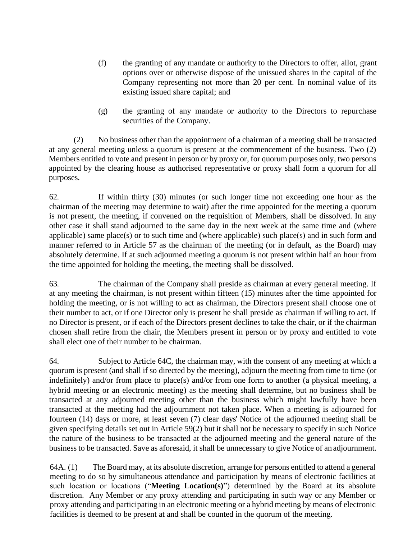- (f) the granting of any mandate or authority to the Directors to offer, allot, grant options over or otherwise dispose of the unissued shares in the capital of the Company representing not more than 20 per cent. In nominal value of its existing issued share capital; and
- (g) the granting of any mandate or authority to the Directors to repurchase securities of the Company.

(2) No business other than the appointment of a chairman of a meeting shall be transacted at any general meeting unless a quorum is present at the commencement of the business. Two (2) Members entitled to vote and present in person or by proxy or, for quorum purposes only, two persons appointed by the clearing house as authorised representative or proxy shall form a quorum for all purposes.

62. If within thirty (30) minutes (or such longer time not exceeding one hour as the chairman of the meeting may determine to wait) after the time appointed for the meeting a quorum is not present, the meeting, if convened on the requisition of Members, shall be dissolved. In any other case it shall stand adjourned to the same day in the next week at the same time and (where applicable) same place(s) or to such time and (where applicable) such place(s) and in such form and manner referred to in Article 57 as the chairman of the meeting (or in default, as the Board) may absolutely determine. If at such adjourned meeting a quorum is not present within half an hour from the time appointed for holding the meeting, the meeting shall be dissolved.

63. The chairman of the Company shall preside as chairman at every general meeting. If at any meeting the chairman, is not present within fifteen (15) minutes after the time appointed for holding the meeting, or is not willing to act as chairman, the Directors present shall choose one of their number to act, or if one Director only is present he shall preside as chairman if willing to act. If no Director is present, or if each of the Directors present declines to take the chair, or if the chairman chosen shall retire from the chair, the Members present in person or by proxy and entitled to vote shall elect one of their number to be chairman.

64. Subject to Article 64C, the chairman may, with the consent of any meeting at which a quorum is present (and shall if so directed by the meeting), adjourn the meeting from time to time (or indefinitely) and/or from place to place(s) and/or from one form to another (a physical meeting, a hybrid meeting or an electronic meeting) as the meeting shall determine, but no business shall be transacted at any adjourned meeting other than the business which might lawfully have been transacted at the meeting had the adjournment not taken place. When a meeting is adjourned for fourteen (14) days or more, at least seven (7) clear days' Notice of the adjourned meeting shall be given specifying details set out in Article 59(2) but it shall not be necessary to specify in such Notice the nature of the business to be transacted at the adjourned meeting and the general nature of the business to be transacted. Save as aforesaid, it shall be unnecessary to give Notice of an adjournment.

64A. (1) The Board may, at its absolute discretion, arrange for persons entitled to attend a general meeting to do so by simultaneous attendance and participation by means of electronic facilities at such location or locations ("**Meeting Location(s)**") determined by the Board at its absolute discretion. Any Member or any proxy attending and participating in such way or any Member or proxy attending and participating in an electronic meeting or a hybrid meeting by means of electronic facilities is deemed to be present at and shall be counted in the quorum of the meeting.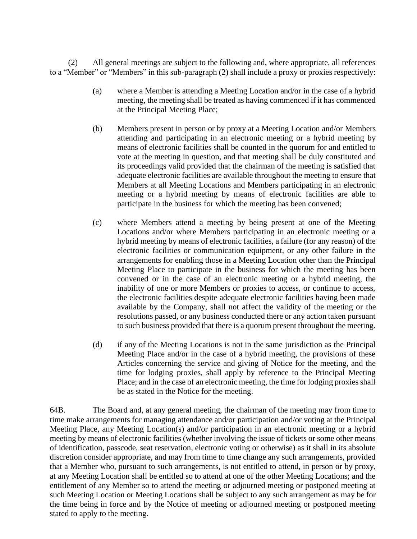(2) All general meetings are subject to the following and, where appropriate, all references to a "Member" or "Members" in this sub-paragraph (2) shall include a proxy or proxies respectively:

- (a) where a Member is attending a Meeting Location and/or in the case of a hybrid meeting, the meeting shall be treated as having commenced if it has commenced at the Principal Meeting Place;
- (b) Members present in person or by proxy at a Meeting Location and/or Members attending and participating in an electronic meeting or a hybrid meeting by means of electronic facilities shall be counted in the quorum for and entitled to vote at the meeting in question, and that meeting shall be duly constituted and its proceedings valid provided that the chairman of the meeting is satisfied that adequate electronic facilities are available throughout the meeting to ensure that Members at all Meeting Locations and Members participating in an electronic meeting or a hybrid meeting by means of electronic facilities are able to participate in the business for which the meeting has been convened;
- (c) where Members attend a meeting by being present at one of the Meeting Locations and/or where Members participating in an electronic meeting or a hybrid meeting by means of electronic facilities, a failure (for any reason) of the electronic facilities or communication equipment, or any other failure in the arrangements for enabling those in a Meeting Location other than the Principal Meeting Place to participate in the business for which the meeting has been convened or in the case of an electronic meeting or a hybrid meeting, the inability of one or more Members or proxies to access, or continue to access, the electronic facilities despite adequate electronic facilities having been made available by the Company, shall not affect the validity of the meeting or the resolutions passed, or any business conducted there or any action taken pursuant to such business provided that there is a quorum present throughout the meeting.
- (d) if any of the Meeting Locations is not in the same jurisdiction as the Principal Meeting Place and/or in the case of a hybrid meeting, the provisions of these Articles concerning the service and giving of Notice for the meeting, and the time for lodging proxies, shall apply by reference to the Principal Meeting Place; and in the case of an electronic meeting, the time for lodging proxies shall be as stated in the Notice for the meeting.

64B. The Board and, at any general meeting, the chairman of the meeting may from time to time make arrangements for managing attendance and/or participation and/or voting at the Principal Meeting Place, any Meeting Location(s) and/or participation in an electronic meeting or a hybrid meeting by means of electronic facilities (whether involving the issue of tickets or some other means of identification, passcode, seat reservation, electronic voting or otherwise) as it shall in its absolute discretion consider appropriate, and may from time to time change any such arrangements, provided that a Member who, pursuant to such arrangements, is not entitled to attend, in person or by proxy, at any Meeting Location shall be entitled so to attend at one of the other Meeting Locations; and the entitlement of any Member so to attend the meeting or adjourned meeting or postponed meeting at such Meeting Location or Meeting Locations shall be subject to any such arrangement as may be for the time being in force and by the Notice of meeting or adjourned meeting or postponed meeting stated to apply to the meeting.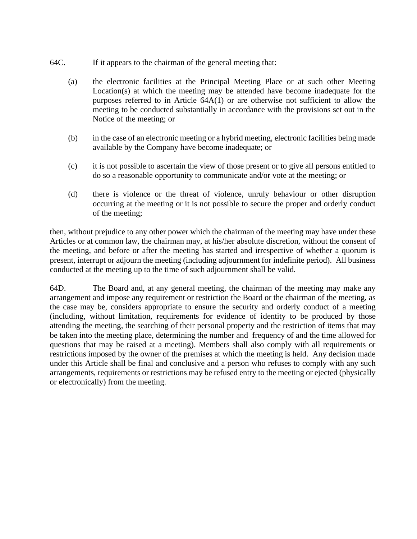- 64C. If it appears to the chairman of the general meeting that:
	- (a) the electronic facilities at the Principal Meeting Place or at such other Meeting Location(s) at which the meeting may be attended have become inadequate for the purposes referred to in Article 64A(1) or are otherwise not sufficient to allow the meeting to be conducted substantially in accordance with the provisions set out in the Notice of the meeting; or
	- (b) in the case of an electronic meeting or a hybrid meeting, electronic facilities being made available by the Company have become inadequate; or
	- (c) it is not possible to ascertain the view of those present or to give all persons entitled to do so a reasonable opportunity to communicate and/or vote at the meeting; or
	- (d) there is violence or the threat of violence, unruly behaviour or other disruption occurring at the meeting or it is not possible to secure the proper and orderly conduct of the meeting;

then, without prejudice to any other power which the chairman of the meeting may have under these Articles or at common law, the chairman may, at his/her absolute discretion, without the consent of the meeting, and before or after the meeting has started and irrespective of whether a quorum is present, interrupt or adjourn the meeting (including adjournment for indefinite period). All business conducted at the meeting up to the time of such adjournment shall be valid.

64D. The Board and, at any general meeting, the chairman of the meeting may make any arrangement and impose any requirement or restriction the Board or the chairman of the meeting, as the case may be, considers appropriate to ensure the security and orderly conduct of a meeting (including, without limitation, requirements for evidence of identity to be produced by those attending the meeting, the searching of their personal property and the restriction of items that may be taken into the meeting place, determining the number and frequency of and the time allowed for questions that may be raised at a meeting). Members shall also comply with all requirements or restrictions imposed by the owner of the premises at which the meeting is held. Any decision made under this Article shall be final and conclusive and a person who refuses to comply with any such arrangements, requirements or restrictions may be refused entry to the meeting or ejected (physically or electronically) from the meeting.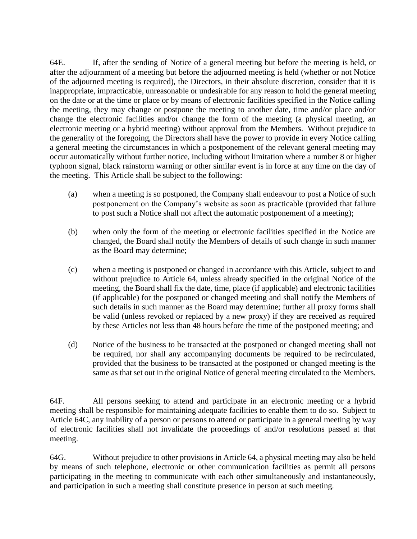64E. If, after the sending of Notice of a general meeting but before the meeting is held, or after the adjournment of a meeting but before the adjourned meeting is held (whether or not Notice of the adjourned meeting is required), the Directors, in their absolute discretion, consider that it is inappropriate, impracticable, unreasonable or undesirable for any reason to hold the general meeting on the date or at the time or place or by means of electronic facilities specified in the Notice calling the meeting, they may change or postpone the meeting to another date, time and/or place and/or change the electronic facilities and/or change the form of the meeting (a physical meeting, an electronic meeting or a hybrid meeting) without approval from the Members. Without prejudice to the generality of the foregoing, the Directors shall have the power to provide in every Notice calling a general meeting the circumstances in which a postponement of the relevant general meeting may occur automatically without further notice, including without limitation where a number 8 or higher typhoon signal, black rainstorm warning or other similar event is in force at any time on the day of the meeting. This Article shall be subject to the following:

- (a) when a meeting is so postponed, the Company shall endeavour to post a Notice of such postponement on the Company's website as soon as practicable (provided that failure to post such a Notice shall not affect the automatic postponement of a meeting);
- (b) when only the form of the meeting or electronic facilities specified in the Notice are changed, the Board shall notify the Members of details of such change in such manner as the Board may determine;
- (c) when a meeting is postponed or changed in accordance with this Article, subject to and without prejudice to Article 64, unless already specified in the original Notice of the meeting, the Board shall fix the date, time, place (if applicable) and electronic facilities (if applicable) for the postponed or changed meeting and shall notify the Members of such details in such manner as the Board may determine; further all proxy forms shall be valid (unless revoked or replaced by a new proxy) if they are received as required by these Articles not less than 48 hours before the time of the postponed meeting; and
- (d) Notice of the business to be transacted at the postponed or changed meeting shall not be required, nor shall any accompanying documents be required to be recirculated, provided that the business to be transacted at the postponed or changed meeting is the same as that set out in the original Notice of general meeting circulated to the Members.

64F. All persons seeking to attend and participate in an electronic meeting or a hybrid meeting shall be responsible for maintaining adequate facilities to enable them to do so. Subject to Article 64C, any inability of a person or persons to attend or participate in a general meeting by way of electronic facilities shall not invalidate the proceedings of and/or resolutions passed at that meeting.

64G. Without prejudice to other provisions in Article 64, a physical meeting may also be held by means of such telephone, electronic or other communication facilities as permit all persons participating in the meeting to communicate with each other simultaneously and instantaneously, and participation in such a meeting shall constitute presence in person at such meeting.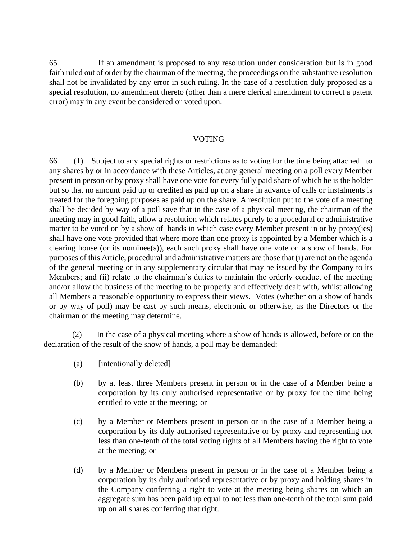65. If an amendment is proposed to any resolution under consideration but is in good faith ruled out of order by the chairman of the meeting, the proceedings on the substantive resolution shall not be invalidated by any error in such ruling. In the case of a resolution duly proposed as a special resolution, no amendment thereto (other than a mere clerical amendment to correct a patent error) may in any event be considered or voted upon.

### VOTING

66. (1) Subject to any special rights or restrictions as to voting for the time being attached to any shares by or in accordance with these Articles, at any general meeting on a poll every Member present in person or by proxy shall have one vote for every fully paid share of which he is the holder but so that no amount paid up or credited as paid up on a share in advance of calls or instalments is treated for the foregoing purposes as paid up on the share. A resolution put to the vote of a meeting shall be decided by way of a poll save that in the case of a physical meeting, the chairman of the meeting may in good faith, allow a resolution which relates purely to a procedural or administrative matter to be voted on by a show of hands in which case every Member present in or by proxy(ies) shall have one vote provided that where more than one proxy is appointed by a Member which is a clearing house (or its nominee(s)), each such proxy shall have one vote on a show of hands. For purposes of this Article, procedural and administrative matters are those that (i) are not on the agenda of the general meeting or in any supplementary circular that may be issued by the Company to its Members; and (ii) relate to the chairman's duties to maintain the orderly conduct of the meeting and/or allow the business of the meeting to be properly and effectively dealt with, whilst allowing all Members a reasonable opportunity to express their views. Votes (whether on a show of hands or by way of poll) may be cast by such means, electronic or otherwise, as the Directors or the chairman of the meeting may determine.

(2) In the case of a physical meeting where a show of hands is allowed, before or on the declaration of the result of the show of hands, a poll may be demanded:

- (a) [intentionally deleted]
- (b) by at least three Members present in person or in the case of a Member being a corporation by its duly authorised representative or by proxy for the time being entitled to vote at the meeting; or
- (c) by a Member or Members present in person or in the case of a Member being a corporation by its duly authorised representative or by proxy and representing not less than one-tenth of the total voting rights of all Members having the right to vote at the meeting; or
- (d) by a Member or Members present in person or in the case of a Member being a corporation by its duly authorised representative or by proxy and holding shares in the Company conferring a right to vote at the meeting being shares on which an aggregate sum has been paid up equal to not less than one-tenth of the total sum paid up on all shares conferring that right.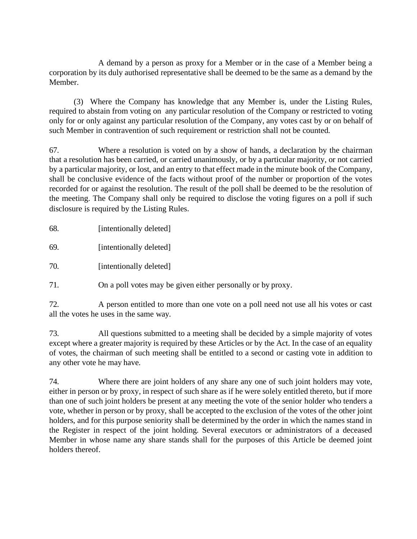A demand by a person as proxy for a Member or in the case of a Member being a corporation by its duly authorised representative shall be deemed to be the same as a demand by the Member.

(3) Where the Company has knowledge that any Member is, under the Listing Rules, required to abstain from voting on any particular resolution of the Company or restricted to voting only for or only against any particular resolution of the Company, any votes cast by or on behalf of such Member in contravention of such requirement or restriction shall not be counted.

67. Where a resolution is voted on by a show of hands, a declaration by the chairman that a resolution has been carried, or carried unanimously, or by a particular majority, or not carried by a particular majority, or lost, and an entry to that effect made in the minute book of the Company, shall be conclusive evidence of the facts without proof of the number or proportion of the votes recorded for or against the resolution. The result of the poll shall be deemed to be the resolution of the meeting. The Company shall only be required to disclose the voting figures on a poll if such disclosure is required by the Listing Rules.

| 68. | [intentionally deleted] |  |
|-----|-------------------------|--|
|     |                         |  |

69. [intentionally deleted]

70. [intentionally deleted]

71. On a poll votes may be given either personally or by proxy.

72. A person entitled to more than one vote on a poll need not use all his votes or cast all the votes he uses in the same way.

73. All questions submitted to a meeting shall be decided by a simple majority of votes except where a greater majority is required by these Articles or by the Act. In the case of an equality of votes, the chairman of such meeting shall be entitled to a second or casting vote in addition to any other vote he may have.

74. Where there are joint holders of any share any one of such joint holders may vote, either in person or by proxy, in respect of such share as if he were solely entitled thereto, but if more than one of such joint holders be present at any meeting the vote of the senior holder who tenders a vote, whether in person or by proxy, shall be accepted to the exclusion of the votes of the other joint holders, and for this purpose seniority shall be determined by the order in which the names stand in the Register in respect of the joint holding. Several executors or administrators of a deceased Member in whose name any share stands shall for the purposes of this Article be deemed joint holders thereof.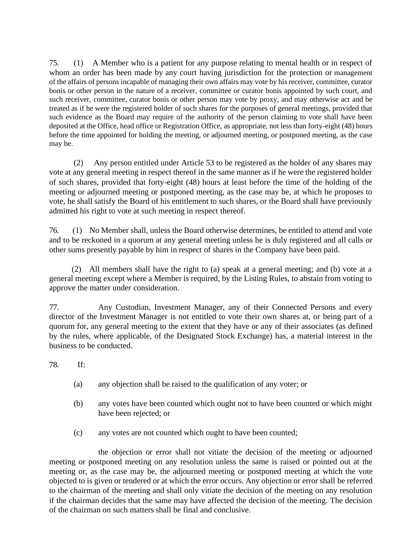75. (1) A Member who is a patient for any purpose relating to mental health or in respect of whom an order has been made by any court having jurisdiction for the protection or management of the affairs of persons incapable of managing their own affairs may vote by his receiver, committee, curator bonis or other person in the nature of a receiver, committee or curator bonis appointed by such court, and such receiver, committee, curator bonis or other person may vote by proxy, and may otherwise act and be treated as if he were the registered holder of such shares for the purposes of general meetings, provided that such evidence as the Board may require of the authority of the person claiming to vote shall have been deposited at the Office, head office or Registration Office, as appropriate, not less than forty-eight (48) hours before the time appointed for holding the meeting, or adjourned meeting, or postponed meeting, as the case may be.

(2) Any person entitled under Article 53 to be registered as the holder of any shares may vote at any general meeting in respect thereof in the same manner as if he were the registered holder of such shares, provided that forty-eight (48) hours at least before the time of the holding of the meeting or adjourned meeting or postponed meeting, as the case may be, at which he proposes to vote, he shall satisfy the Board of his entitlement to such shares, or the Board shall have previously admitted his right to vote at such meeting in respect thereof.

76. (1) No Member shall, unless the Board otherwise determines, be entitled to attend and vote and to be reckoned in a quorum at any general meeting unless he is duly registered and all calls or other sums presently payable by him in respect of shares in the Company have been paid.

 (2) All members shall have the right to (a) speak at a general meeting; and (b) vote at a general meeting except where a Member is required, by the Listing Rules, to abstain from voting to approve the matter under consideration.

77. Any Custodian, Investment Manager, any of their Connected Persons and every director of the Investment Manager is not entitled to vote their own shares at, or being part of a quorum for, any general meeting to the extent that they have or any of their associates (as defined by the rules, where applicable, of the Designated Stock Exchange) has, a material interest in the business to be conducted.

78. If:

- (a) any objection shall be raised to the qualification of any voter; or
- (b) any votes have been counted which ought not to have been counted or which might have been rejected; or
- (c) any votes are not counted which ought to have been counted;

the objection or error shall not vitiate the decision of the meeting or adjourned meeting or postponed meeting on any resolution unless the same is raised or pointed out at the meeting or, as the case may be, the adjourned meeting or postponed meeting at which the vote objected to is given or tendered or at which the error occurs. Any objection or error shall be referred to the chairman of the meeting and shall only vitiate the decision of the meeting on any resolution if the chairman decides that the same may have affected the decision of the meeting. The decision of the chairman on such matters shall be final and conclusive.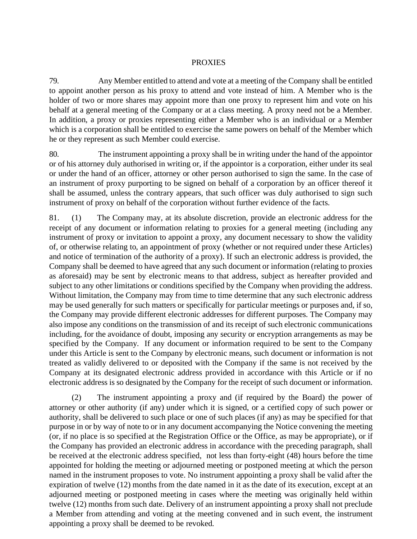### PROXIES

79. Any Member entitled to attend and vote at a meeting of the Company shall be entitled to appoint another person as his proxy to attend and vote instead of him. A Member who is the holder of two or more shares may appoint more than one proxy to represent him and vote on his behalf at a general meeting of the Company or at a class meeting. A proxy need not be a Member. In addition, a proxy or proxies representing either a Member who is an individual or a Member which is a corporation shall be entitled to exercise the same powers on behalf of the Member which he or they represent as such Member could exercise.

80. The instrument appointing a proxy shall be in writing under the hand of the appointor or of his attorney duly authorised in writing or, if the appointor is a corporation, either under its seal or under the hand of an officer, attorney or other person authorised to sign the same. In the case of an instrument of proxy purporting to be signed on behalf of a corporation by an officer thereof it shall be assumed, unless the contrary appears, that such officer was duly authorised to sign such instrument of proxy on behalf of the corporation without further evidence of the facts.

81. (1) The Company may, at its absolute discretion, provide an electronic address for the receipt of any document or information relating to proxies for a general meeting (including any instrument of proxy or invitation to appoint a proxy, any document necessary to show the validity of, or otherwise relating to, an appointment of proxy (whether or not required under these Articles) and notice of termination of the authority of a proxy). If such an electronic address is provided, the Company shall be deemed to have agreed that any such document or information (relating to proxies as aforesaid) may be sent by electronic means to that address, subject as hereafter provided and subject to any other limitations or conditions specified by the Company when providing the address. Without limitation, the Company may from time to time determine that any such electronic address may be used generally for such matters or specifically for particular meetings or purposes and, if so, the Company may provide different electronic addresses for different purposes. The Company may also impose any conditions on the transmission of and its receipt of such electronic communications including, for the avoidance of doubt, imposing any security or encryption arrangements as may be specified by the Company. If any document or information required to be sent to the Company under this Article is sent to the Company by electronic means, such document or information is not treated as validly delivered to or deposited with the Company if the same is not received by the Company at its designated electronic address provided in accordance with this Article or if no electronic address is so designated by the Company for the receipt of such document or information.

(2) The instrument appointing a proxy and (if required by the Board) the power of attorney or other authority (if any) under which it is signed, or a certified copy of such power or authority, shall be delivered to such place or one of such places (if any) as may be specified for that purpose in or by way of note to or in any document accompanying the Notice convening the meeting (or, if no place is so specified at the Registration Office or the Office, as may be appropriate), or if the Company has provided an electronic address in accordance with the preceding paragraph, shall be received at the electronic address specified, not less than forty-eight (48) hours before the time appointed for holding the meeting or adjourned meeting or postponed meeting at which the person named in the instrument proposes to vote. No instrument appointing a proxy shall be valid after the expiration of twelve (12) months from the date named in it as the date of its execution, except at an adjourned meeting or postponed meeting in cases where the meeting was originally held within twelve (12) months from such date. Delivery of an instrument appointing a proxy shall not preclude a Member from attending and voting at the meeting convened and in such event, the instrument appointing a proxy shall be deemed to be revoked.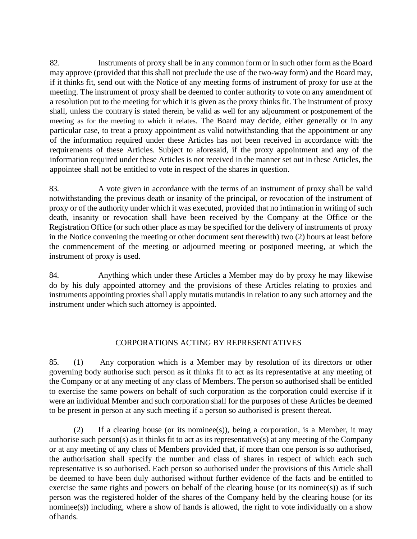82. Instruments of proxy shall be in any common form or in such other form as the Board may approve (provided that this shall not preclude the use of the two-way form) and the Board may, if it thinks fit, send out with the Notice of any meeting forms of instrument of proxy for use at the meeting. The instrument of proxy shall be deemed to confer authority to vote on any amendment of a resolution put to the meeting for which it is given as the proxy thinks fit. The instrument of proxy shall, unless the contrary is stated therein, be valid as well for any adjournment or postponement of the meeting as for the meeting to which it relates. The Board may decide, either generally or in any particular case, to treat a proxy appointment as valid notwithstanding that the appointment or any of the information required under these Articles has not been received in accordance with the requirements of these Articles. Subject to aforesaid, if the proxy appointment and any of the information required under these Articles is not received in the manner set out in these Articles, the appointee shall not be entitled to vote in respect of the shares in question.

83. A vote given in accordance with the terms of an instrument of proxy shall be valid notwithstanding the previous death or insanity of the principal, or revocation of the instrument of proxy or of the authority under which it was executed, provided that no intimation in writing of such death, insanity or revocation shall have been received by the Company at the Office or the Registration Office (or such other place as may be specified for the delivery of instruments of proxy in the Notice convening the meeting or other document sent therewith) two (2) hours at least before the commencement of the meeting or adjourned meeting or postponed meeting, at which the instrument of proxy is used.

84. Anything which under these Articles a Member may do by proxy he may likewise do by his duly appointed attorney and the provisions of these Articles relating to proxies and instruments appointing proxies shall apply mutatis mutandis in relation to any such attorney and the instrument under which such attorney is appointed.

### CORPORATIONS ACTING BY REPRESENTATIVES

85. (1) Any corporation which is a Member may by resolution of its directors or other governing body authorise such person as it thinks fit to act as its representative at any meeting of the Company or at any meeting of any class of Members. The person so authorised shall be entitled to exercise the same powers on behalf of such corporation as the corporation could exercise if it were an individual Member and such corporation shall for the purposes of these Articles be deemed to be present in person at any such meeting if a person so authorised is present thereat.

(2) If a clearing house (or its nominee(s)), being a corporation, is a Member, it may authorise such person(s) as it thinks fit to act as its representative(s) at any meeting of the Company or at any meeting of any class of Members provided that, if more than one person is so authorised, the authorisation shall specify the number and class of shares in respect of which each such representative is so authorised. Each person so authorised under the provisions of this Article shall be deemed to have been duly authorised without further evidence of the facts and be entitled to exercise the same rights and powers on behalf of the clearing house (or its nominee(s)) as if such person was the registered holder of the shares of the Company held by the clearing house (or its nominee(s)) including, where a show of hands is allowed, the right to vote individually on a show of hands.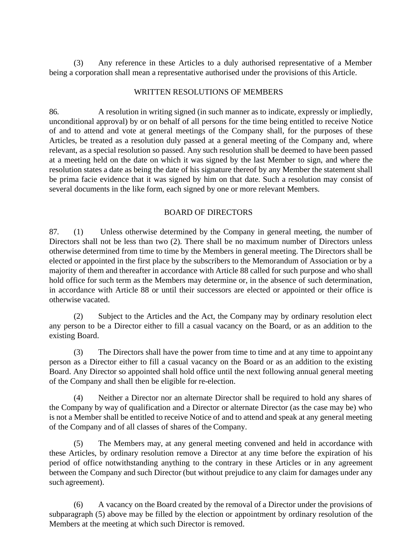(3) Any reference in these Articles to a duly authorised representative of a Member being a corporation shall mean a representative authorised under the provisions of this Article.

#### WRITTEN RESOLUTIONS OF MEMBERS

86. A resolution in writing signed (in such manner as to indicate, expressly or impliedly, unconditional approval) by or on behalf of all persons for the time being entitled to receive Notice of and to attend and vote at general meetings of the Company shall, for the purposes of these Articles, be treated as a resolution duly passed at a general meeting of the Company and, where relevant, as a special resolution so passed. Any such resolution shall be deemed to have been passed at a meeting held on the date on which it was signed by the last Member to sign, and where the resolution states a date as being the date of his signature thereof by any Member the statement shall be prima facie evidence that it was signed by him on that date. Such a resolution may consist of several documents in the like form, each signed by one or more relevant Members.

### BOARD OF DIRECTORS

87. (1) Unless otherwise determined by the Company in general meeting, the number of Directors shall not be less than two (2). There shall be no maximum number of Directors unless otherwise determined from time to time by the Members in general meeting. The Directors shall be elected or appointed in the first place by the subscribers to the Memorandum of Association or by a majority of them and thereafter in accordance with Article 88 called for such purpose and who shall hold office for such term as the Members may determine or, in the absence of such determination, in accordance with Article 88 or until their successors are elected or appointed or their office is otherwise vacated.

(2) Subject to the Articles and the Act, the Company may by ordinary resolution elect any person to be a Director either to fill a casual vacancy on the Board, or as an addition to the existing Board.

(3) The Directors shall have the power from time to time and at any time to appoint any person as a Director either to fill a casual vacancy on the Board or as an addition to the existing Board. Any Director so appointed shall hold office until the next following annual general meeting of the Company and shall then be eligible for re-election.

(4) Neither a Director nor an alternate Director shall be required to hold any shares of the Company by way of qualification and a Director or alternate Director (as the case may be) who is not a Member shall be entitled to receive Notice of and to attend and speak at any general meeting of the Company and of all classes of shares of the Company.

(5) The Members may, at any general meeting convened and held in accordance with these Articles, by ordinary resolution remove a Director at any time before the expiration of his period of office notwithstanding anything to the contrary in these Articles or in any agreement between the Company and such Director (but without prejudice to any claim for damages under any such agreement).

(6) A vacancy on the Board created by the removal of a Director under the provisions of subparagraph (5) above may be filled by the election or appointment by ordinary resolution of the Members at the meeting at which such Director is removed.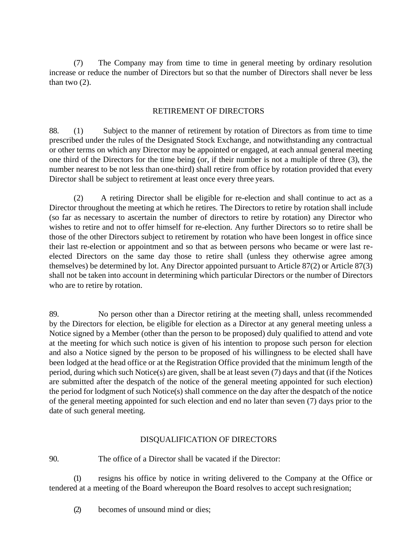(7) The Company may from time to time in general meeting by ordinary resolution increase or reduce the number of Directors but so that the number of Directors shall never be less than two  $(2)$ .

### RETIREMENT OF DIRECTORS

88. (1) Subject to the manner of retirement by rotation of Directors as from time to time prescribed under the rules of the Designated Stock Exchange, and notwithstanding any contractual or other terms on which any Director may be appointed or engaged, at each annual general meeting one third of the Directors for the time being (or, if their number is not a multiple of three (3), the number nearest to be not less than one-third) shall retire from office by rotation provided that every Director shall be subject to retirement at least once every three years.

(2) A retiring Director shall be eligible for re-election and shall continue to act as a Director throughout the meeting at which he retires. The Directors to retire by rotation shall include (so far as necessary to ascertain the number of directors to retire by rotation) any Director who wishes to retire and not to offer himself for re-election. Any further Directors so to retire shall be those of the other Directors subject to retirement by rotation who have been longest in office since their last re-election or appointment and so that as between persons who became or were last reelected Directors on the same day those to retire shall (unless they otherwise agree among themselves) be determined by lot. Any Director appointed pursuant to Article 87(2) or Article 87(3) shall not be taken into account in determining which particular Directors or the number of Directors who are to retire by rotation.

89. No person other than a Director retiring at the meeting shall, unless recommended by the Directors for election, be eligible for election as a Director at any general meeting unless a Notice signed by a Member (other than the person to be proposed) duly qualified to attend and vote at the meeting for which such notice is given of his intention to propose such person for election and also a Notice signed by the person to be proposed of his willingness to be elected shall have been lodged at the head office or at the Registration Office provided that the minimum length of the period, during which such Notice(s) are given, shall be at least seven (7) days and that (if the Notices are submitted after the despatch of the notice of the general meeting appointed for such election) the period for lodgment of such Notice(s) shall commence on the day after the despatch of the notice of the general meeting appointed for such election and end no later than seven (7) days prior to the date of such general meeting.

### DISQUALIFICATION OF DIRECTORS

90. The office of a Director shall be vacated if the Director:

(1) resigns his office by notice in writing delivered to the Company at the Office or tendered at a meeting of the Board whereupon the Board resolves to accept such resignation;

(2) becomes of unsound mind or dies;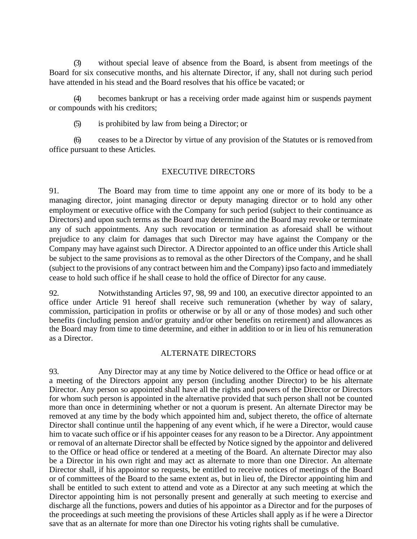(3) without special leave of absence from the Board, is absent from meetings of the Board for six consecutive months, and his alternate Director, if any, shall not during such period have attended in his stead and the Board resolves that his office be vacated; or

(4) becomes bankrupt or has a receiving order made against him or suspends payment or compounds with his creditors;

(5) is prohibited by law from being a Director; or

(6) ceases to be a Director by virtue of any provision of the Statutes or is removed from office pursuant to these Articles.

### EXECUTIVE DIRECTORS

91. The Board may from time to time appoint any one or more of its body to be a managing director, joint managing director or deputy managing director or to hold any other employment or executive office with the Company for such period (subject to their continuance as Directors) and upon such terms as the Board may determine and the Board may revoke or terminate any of such appointments. Any such revocation or termination as aforesaid shall be without prejudice to any claim for damages that such Director may have against the Company or the Company may have against such Director. A Director appointed to an office under this Article shall be subject to the same provisions as to removal as the other Directors of the Company, and he shall (subject to the provisions of any contract between him and the Company) ipso facto and immediately cease to hold such office if he shall cease to hold the office of Director for any cause.

92. Notwithstanding Articles 97, 98, 99 and 100, an executive director appointed to an office under Article 91 hereof shall receive such remuneration (whether by way of salary, commission, participation in profits or otherwise or by all or any of those modes) and such other benefits (including pension and/or gratuity and/or other benefits on retirement) and allowances as the Board may from time to time determine, and either in addition to or in lieu of his remuneration as a Director.

### ALTERNATE DIRECTORS

93. Any Director may at any time by Notice delivered to the Office or head office or at a meeting of the Directors appoint any person (including another Director) to be his alternate Director. Any person so appointed shall have all the rights and powers of the Director or Directors for whom such person is appointed in the alternative provided that such person shall not be counted more than once in determining whether or not a quorum is present. An alternate Director may be removed at any time by the body which appointed him and, subject thereto, the office of alternate Director shall continue until the happening of any event which, if he were a Director, would cause him to vacate such office or if his appointer ceases for any reason to be a Director. Any appointment or removal of an alternate Director shall be effected by Notice signed by the appointor and delivered to the Office or head office or tendered at a meeting of the Board. An alternate Director may also be a Director in his own right and may act as alternate to more than one Director. An alternate Director shall, if his appointor so requests, be entitled to receive notices of meetings of the Board or of committees of the Board to the same extent as, but in lieu of, the Director appointing him and shall be entitled to such extent to attend and vote as a Director at any such meeting at which the Director appointing him is not personally present and generally at such meeting to exercise and discharge all the functions, powers and duties of his appointor as a Director and for the purposes of the proceedings at such meeting the provisions of these Articles shall apply as if he were a Director save that as an alternate for more than one Director his voting rights shall be cumulative.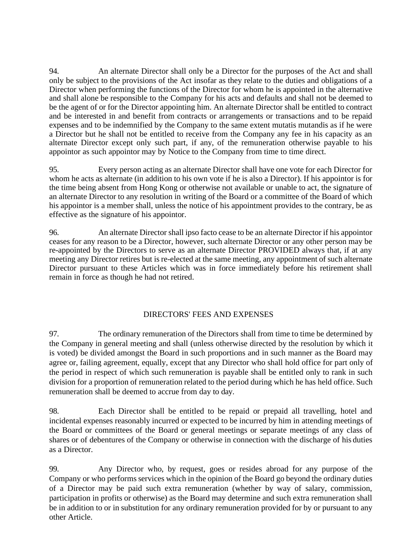94. An alternate Director shall only be a Director for the purposes of the Act and shall only be subject to the provisions of the Act insofar as they relate to the duties and obligations of a Director when performing the functions of the Director for whom he is appointed in the alternative and shall alone be responsible to the Company for his acts and defaults and shall not be deemed to be the agent of or for the Director appointing him. An alternate Director shall be entitled to contract and be interested in and benefit from contracts or arrangements or transactions and to be repaid expenses and to be indemnified by the Company to the same extent mutatis mutandis as if he were a Director but he shall not be entitled to receive from the Company any fee in his capacity as an alternate Director except only such part, if any, of the remuneration otherwise payable to his appointor as such appointor may by Notice to the Company from time to time direct.

95. Every person acting as an alternate Director shall have one vote for each Director for whom he acts as alternate (in addition to his own vote if he is also a Director). If his appointor is for the time being absent from Hong Kong or otherwise not available or unable to act, the signature of an alternate Director to any resolution in writing of the Board or a committee of the Board of which his appointor is a member shall, unless the notice of his appointment provides to the contrary, be as effective as the signature of his appointor.

96. An alternate Director shall ipso facto cease to be an alternate Director if his appointor ceases for any reason to be a Director, however, such alternate Director or any other person may be re-appointed by the Directors to serve as an alternate Director PROVIDED always that, if at any meeting any Director retires but is re-elected at the same meeting, any appointment of such alternate Director pursuant to these Articles which was in force immediately before his retirement shall remain in force as though he had not retired.

### DIRECTORS' FEES AND EXPENSES

97. The ordinary remuneration of the Directors shall from time to time be determined by the Company in general meeting and shall (unless otherwise directed by the resolution by which it is voted) be divided amongst the Board in such proportions and in such manner as the Board may agree or, failing agreement, equally, except that any Director who shall hold office for part only of the period in respect of which such remuneration is payable shall be entitled only to rank in such division for a proportion of remuneration related to the period during which he has held office. Such remuneration shall be deemed to accrue from day to day.

98. Each Director shall be entitled to be repaid or prepaid all travelling, hotel and incidental expenses reasonably incurred or expected to be incurred by him in attending meetings of the Board or committees of the Board or general meetings or separate meetings of any class of shares or of debentures of the Company or otherwise in connection with the discharge of his duties as a Director.

99. Any Director who, by request, goes or resides abroad for any purpose of the Company or who performs services which in the opinion of the Board go beyond the ordinary duties of a Director may be paid such extra remuneration (whether by way of salary, commission, participation in profits or otherwise) as the Board may determine and such extra remuneration shall be in addition to or in substitution for any ordinary remuneration provided for by or pursuant to any other Article.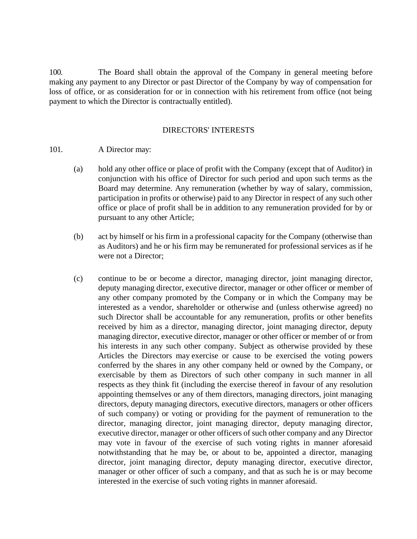100. The Board shall obtain the approval of the Company in general meeting before making any payment to any Director or past Director of the Company by way of compensation for loss of office, or as consideration for or in connection with his retirement from office (not being payment to which the Director is contractually entitled).

#### DIRECTORS' INTERESTS

#### 101. A Director may:

- (a) hold any other office or place of profit with the Company (except that of Auditor) in conjunction with his office of Director for such period and upon such terms as the Board may determine. Any remuneration (whether by way of salary, commission, participation in profits or otherwise) paid to any Director in respect of any such other office or place of profit shall be in addition to any remuneration provided for by or pursuant to any other Article;
- (b) act by himself or his firm in a professional capacity for the Company (otherwise than as Auditors) and he or his firm may be remunerated for professional services as if he were not a Director;
- (c) continue to be or become a director, managing director, joint managing director, deputy managing director, executive director, manager or other officer or member of any other company promoted by the Company or in which the Company may be interested as a vendor, shareholder or otherwise and (unless otherwise agreed) no such Director shall be accountable for any remuneration, profits or other benefits received by him as a director, managing director, joint managing director, deputy managing director, executive director, manager or other officer or member of or from his interests in any such other company. Subject as otherwise provided by these Articles the Directors may exercise or cause to be exercised the voting powers conferred by the shares in any other company held or owned by the Company, or exercisable by them as Directors of such other company in such manner in all respects as they think fit (including the exercise thereof in favour of any resolution appointing themselves or any of them directors, managing directors, joint managing directors, deputy managing directors, executive directors, managers or other officers of such company) or voting or providing for the payment of remuneration to the director, managing director, joint managing director, deputy managing director, executive director, manager or other officers of such other company and any Director may vote in favour of the exercise of such voting rights in manner aforesaid notwithstanding that he may be, or about to be, appointed a director, managing director, joint managing director, deputy managing director, executive director, manager or other officer of such a company, and that as such he is or may become interested in the exercise of such voting rights in manner aforesaid.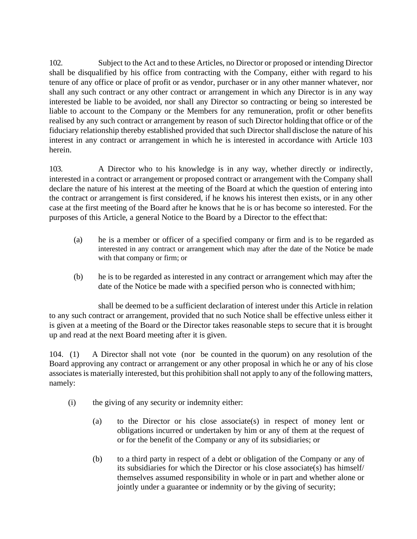102. Subject to the Act and to these Articles, no Director or proposed or intending Director shall be disqualified by his office from contracting with the Company, either with regard to his tenure of any office or place of profit or as vendor, purchaser or in any other manner whatever, nor shall any such contract or any other contract or arrangement in which any Director is in any way interested be liable to be avoided, nor shall any Director so contracting or being so interested be liable to account to the Company or the Members for any remuneration, profit or other benefits realised by any such contract or arrangement by reason of such Director holdingthat office or of the fiduciary relationship thereby established provided that such Director shalldisclose the nature of his interest in any contract or arrangement in which he is interested in accordance with Article 103 herein.

103. A Director who to his knowledge is in any way, whether directly or indirectly, interested in a contract or arrangement or proposed contract or arrangement with the Company shall declare the nature of his interest at the meeting of the Board at which the question of entering into the contract or arrangement is first considered, if he knows his interest then exists, or in any other case at the first meeting of the Board after he knows that he is or has become so interested. For the purposes of this Article, a general Notice to the Board by a Director to the effect that:

- (a) he is a member or officer of a specified company or firm and is to be regarded as interested in any contract or arrangement which may after the date of the Notice be made with that company or firm; or
- (b) he is to be regarded as interested in any contract or arrangement which may after the date of the Notice be made with a specified person who is connected with him;

shall be deemed to be a sufficient declaration of interest under this Article in relation to any such contract or arrangement, provided that no such Notice shall be effective unless either it is given at a meeting of the Board or the Director takes reasonable steps to secure that it is brought up and read at the next Board meeting after it is given.

104. (1) A Director shall not vote (nor be counted in the quorum) on any resolution of the Board approving any contract or arrangement or any other proposal in which he or any of his close associates is materially interested, but this prohibition shall not apply to any of the following matters, namely:

- (i) the giving of any security or indemnity either:
	- (a) to the Director or his close associate(s) in respect of money lent or obligations incurred or undertaken by him or any of them at the request of or for the benefit of the Company or any of its subsidiaries; or
	- (b) to a third party in respect of a debt or obligation of the Company or any of its subsidiaries for which the Director or his close associate(s) has himself/ themselves assumed responsibility in whole or in part and whether alone or jointly under a guarantee or indemnity or by the giving of security;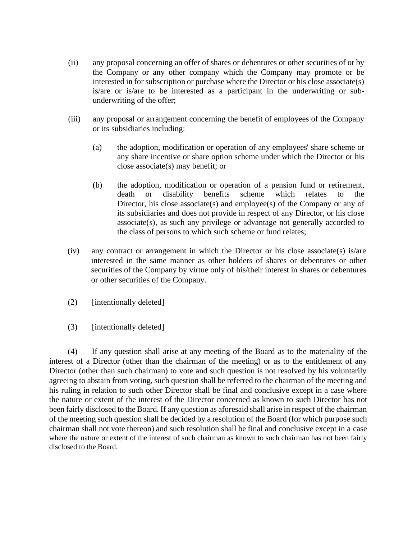- (ii) any proposal concerning an offer of shares or debentures or other securities of or by the Company or any other company which the Company may promote or be interested in for subscription or purchase where the Director or his close associate(s) is/are or is/are to be interested as a participant in the underwriting or subunderwriting of the offer;
- (iii) any proposal or arrangement concerning the benefit of employees of the Company or its subsidiaries including:
	- (a) the adoption, modification or operation of any employees' share scheme or any share incentive or share option scheme under which the Director or his close associate(s) may benefit; or
	- (b) the adoption, modification or operation of a pension fund or retirement, death or disability benefits scheme which relates to the Director, his close associate(s) and employee(s) of the Company or any of its subsidiaries and does not provide in respect of any Director, or his close associate(s), as such any privilege or advantage not generally accorded to the class of persons to which such scheme or fund relates;
- (iv) any contract or arrangement in which the Director or his close associate(s) is/are interested in the same manner as other holders of shares or debentures or other securities of the Company by virtue only of his/their interest in shares or debentures or other securities of the Company.
- (2) [intentionally deleted]
- (3) [intentionally deleted]

(4) If any question shall arise at any meeting of the Board as to the materiality of the interest of a Director (other than the chairman of the meeting) or as to the entitlement of any Director (other than such chairman) to vote and such question is not resolved by his voluntarily agreeing to abstain from voting, such question shall be referred to the chairman of the meeting and his ruling in relation to such other Director shall be final and conclusive except in a case where the nature or extent of the interest of the Director concerned as known to such Director has not been fairly disclosed to the Board. If any question as aforesaid shall arise in respect of the chairman of the meeting such question shall be decided by a resolution of the Board (for which purpose such chairman shall not vote thereon) and such resolution shall be final and conclusive except in a case where the nature or extent of the interest of such chairman as known to such chairman has not been fairly disclosed to the Board.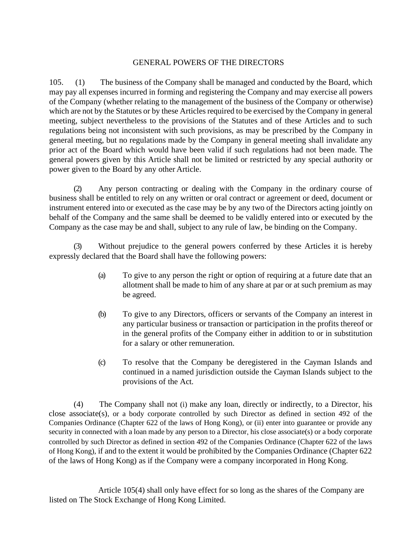### GENERAL POWERS OF THE DIRECTORS

105. (1) The business of the Company shall be managed and conducted by the Board, which may pay all expenses incurred in forming and registering the Company and may exercise all powers of the Company (whether relating to the management of the business of the Company or otherwise) which are not by the Statutes or by these Articles required to be exercised by the Company in general meeting, subject nevertheless to the provisions of the Statutes and of these Articles and to such regulations being not inconsistent with such provisions, as may be prescribed by the Company in general meeting, but no regulations made by the Company in general meeting shall invalidate any prior act of the Board which would have been valid if such regulations had not been made. The general powers given by this Article shall not be limited or restricted by any special authority or power given to the Board by any other Article.

(2) Any person contracting or dealing with the Company in the ordinary course of business shall be entitled to rely on any written or oral contract or agreement or deed, document or instrument entered into or executed as the case may be by any two of the Directors acting jointly on behalf of the Company and the same shall be deemed to be validly entered into or executed by the Company as the case may be and shall, subject to any rule of law, be binding on the Company.

(3) Without prejudice to the general powers conferred by these Articles it is hereby expressly declared that the Board shall have the following powers:

- (a) To give to any person the right or option of requiring at a future date that an allotment shall be made to him of any share at par or at such premium as may be agreed.
- (b) To give to any Directors, officers or servants of the Company an interest in any particular business or transaction or participation in the profits thereof or in the general profits of the Company either in addition to or in substitution for a salary or other remuneration.
- (c) To resolve that the Company be deregistered in the Cayman Islands and continued in a named jurisdiction outside the Cayman Islands subject to the provisions of the Act.

(4) The Company shall not (i) make any loan, directly or indirectly, to a Director, his close associate(s), or a body corporate controlled by such Director as defined in section  $492$  of the Companies Ordinance (Chapter 622 of the laws of Hong Kong), or (ii) enter into guarantee or provide any security in connected with a loan made by any person to a Director, his close associate(s) or a body corporate controlled by such Director as defined in section 492 of the Companies Ordinance (Chapter 622 of the laws of Hong Kong), if and to the extent it would be prohibited by the Companies Ordinance (Chapter 622 of the laws of Hong Kong) as if the Company were a company incorporated in Hong Kong.

Article 105(4) shall only have effect for so long as the shares of the Company are listed on The Stock Exchange of Hong Kong Limited.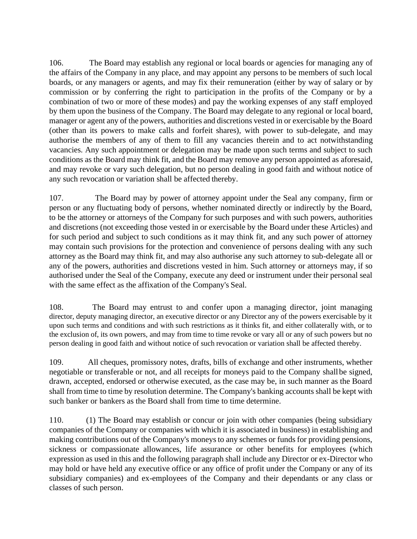106. The Board may establish any regional or local boards or agencies for managing any of the affairs of the Company in any place, and may appoint any persons to be members of such local boards, or any managers or agents, and may fix their remuneration (either by way of salary or by commission or by conferring the right to participation in the profits of the Company or by a combination of two or more of these modes) and pay the working expenses of any staff employed by them upon the business of the Company. The Board may delegate to any regional or local board, manager or agent any of the powers, authorities and discretions vested in or exercisable by the Board (other than its powers to make calls and forfeit shares), with power to sub-delegate, and may authorise the members of any of them to fill any vacancies therein and to act notwithstanding vacancies. Any such appointment or delegation may be made upon such terms and subject to such conditions as the Board may think fit, and the Board may remove any person appointed as aforesaid, and may revoke or vary such delegation, but no person dealing in good faith and without notice of any such revocation or variation shall be affected thereby.

107. The Board may by power of attorney appoint under the Seal any company, firm or person or any fluctuating body of persons, whether nominated directly or indirectly by the Board, to be the attorney or attorneys of the Company for such purposes and with such powers, authorities and discretions (not exceeding those vested in or exercisable by the Board under these Articles) and for such period and subject to such conditions as it may think fit, and any such power of attorney may contain such provisions for the protection and convenience of persons dealing with any such attorney as the Board may think fit, and may also authorise any such attorney to sub-delegate all or any of the powers, authorities and discretions vested in him. Such attorney or attorneys may, if so authorised under the Seal of the Company, execute any deed or instrument under their personal seal with the same effect as the affixation of the Company's Seal.

108. The Board may entrust to and confer upon a managing director, joint managing director, deputy managing director, an executive director or any Director any of the powers exercisable by it upon such terms and conditions and with such restrictions as it thinks fit, and either collaterally with, or to the exclusion of, its own powers, and may from time to time revoke or vary all or any of such powers but no person dealing in good faith and without notice of such revocation or variation shall be affected thereby.

109. All cheques, promissory notes, drafts, bills of exchange and other instruments, whether negotiable or transferable or not, and all receipts for moneys paid to the Company shallbe signed, drawn, accepted, endorsed or otherwise executed, as the case may be, in such manner as the Board shall from time to time by resolution determine. The Company's banking accounts shall be kept with such banker or bankers as the Board shall from time to time determine.

110. (1) The Board may establish or concur or join with other companies (being subsidiary companies of the Company or companies with which it is associated in business) in establishing and making contributions out of the Company's moneys to any schemes or funds for providing pensions, sickness or compassionate allowances, life assurance or other benefits for employees (which expression as used in this and the following paragraph shall include any Director or ex-Director who may hold or have held any executive office or any office of profit under the Company or any of its subsidiary companies) and ex-employees of the Company and their dependants or any class or classes of such person.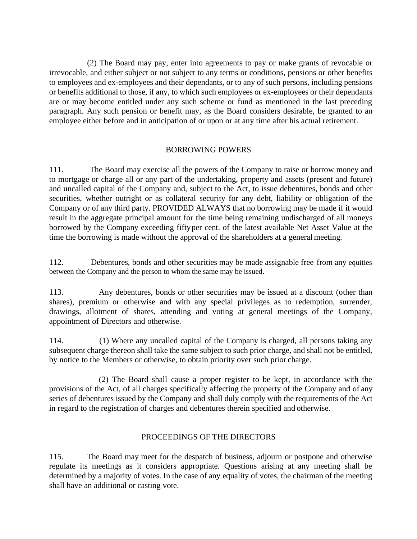(2) The Board may pay, enter into agreements to pay or make grants of revocable or irrevocable, and either subject or not subject to any terms or conditions, pensions or other benefits to employees and ex-employees and their dependants, or to any of such persons, including pensions or benefits additional to those, if any, to which such employees or ex-employees or their dependants are or may become entitled under any such scheme or fund as mentioned in the last preceding paragraph. Any such pension or benefit may, as the Board considers desirable, be granted to an employee either before and in anticipation of or upon or at any time after his actual retirement.

### BORROWING POWERS

111. The Board may exercise all the powers of the Company to raise or borrow money and to mortgage or charge all or any part of the undertaking, property and assets (present and future) and uncalled capital of the Company and, subject to the Act, to issue debentures, bonds and other securities, whether outright or as collateral security for any debt, liability or obligation of the Company or of any third party. PROVIDED ALWAYS that no borrowing may be made if it would result in the aggregate principal amount for the time being remaining undischarged of all moneys borrowed by the Company exceeding fiftyper cent. of the latest available Net Asset Value at the time the borrowing is made without the approval of the shareholders at a general meeting.

112. Debentures, bonds and other securities may be made assignable free from any equities between the Company and the person to whom the same may be issued.

113. Any debentures, bonds or other securities may be issued at a discount (other than shares), premium or otherwise and with any special privileges as to redemption, surrender, drawings, allotment of shares, attending and voting at general meetings of the Company, appointment of Directors and otherwise.

114. (1) Where any uncalled capital of the Company is charged, all persons taking any subsequent charge thereon shall take the same subject to such prior charge, and shall not be entitled, by notice to the Members or otherwise, to obtain priority over such prior charge.

(2) The Board shall cause a proper register to be kept, in accordance with the provisions of the Act, of all charges specifically affecting the property of the Company and of any series of debentures issued by the Company and shall duly comply with the requirements of the Act in regard to the registration of charges and debentures therein specified and otherwise.

### PROCEEDINGS OF THE DIRECTORS

115. The Board may meet for the despatch of business, adjourn or postpone and otherwise regulate its meetings as it considers appropriate. Questions arising at any meeting shall be determined by a majority of votes. In the case of any equality of votes, the chairman of the meeting shall have an additional or casting vote.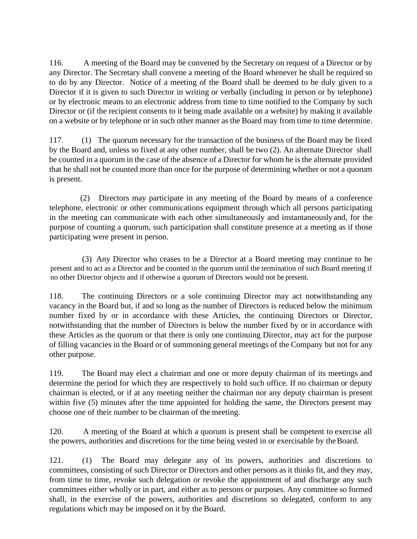116. A meeting of the Board may be convened by the Secretary on request of a Director or by any Director. The Secretary shall convene a meeting of the Board whenever he shall be required so to do by any Director. Notice of a meeting of the Board shall be deemed to be duly given to a Director if it is given to such Director in writing or verbally (including in person or by telephone) or by electronic means to an electronic address from time to time notified to the Company by such Director or (if the recipient consents to it being made available on a website) by making it available on a website or by telephone or in such other manner as the Board may from time to time determine.

117. (1) The quorum necessary for the transaction of the business of the Board may be fixed by the Board and, unless so fixed at any other number, shall be two (2). An alternate Director shall be counted in a quorum in the case of the absence of a Director for whom he is the alternate provided that he shall not be counted more than once for the purpose of determining whether or not a quorum is present.

(2) Directors may participate in any meeting of the Board by means of a conference telephone, electronic or other communications equipment through which all persons participating in the meeting can communicate with each other simultaneously and instantaneously and, for the purpose of counting a quorum, such participation shall constitute presence at a meeting as if those participating were present in person.

(3) Any Director who ceases to be a Director at a Board meeting may continue to be present and to act as a Director and be counted in the quorum until the termination of such Board meeting if no other Director objects and if otherwise a quorum of Directors would not be present.

118. The continuing Directors or a sole continuing Director may act notwithstanding any vacancy in the Board but, if and so long as the number of Directors is reduced below the minimum number fixed by or in accordance with these Articles, the continuing Directors or Director, notwithstanding that the number of Directors is below the number fixed by or in accordance with these Articles as the quorum or that there is only one continuing Director, may act for the purpose of filling vacancies in the Board or of summoning general meetings of the Company but not for any other purpose.

119. The Board may elect a chairman and one or more deputy chairman of its meetings and determine the period for which they are respectively to hold such office. If no chairman or deputy chairman is elected, or if at any meeting neither the chairman nor any deputy chairman is present within five (5) minutes after the time appointed for holding the same, the Directors present may choose one of their number to be chairman of the meeting.

120. A meeting of the Board at which a quorum is present shall be competent to exercise all the powers, authorities and discretions for the time being vested in or exercisable by theBoard.

121. (1) The Board may delegate any of its powers, authorities and discretions to committees, consisting of such Director or Directors and other persons as it thinks fit, and they may, from time to time, revoke such delegation or revoke the appointment of and discharge any such committees either wholly or in part, and either as to persons or purposes. Any committee so formed shall, in the exercise of the powers, authorities and discretions so delegated, conform to any regulations which may be imposed on it by the Board.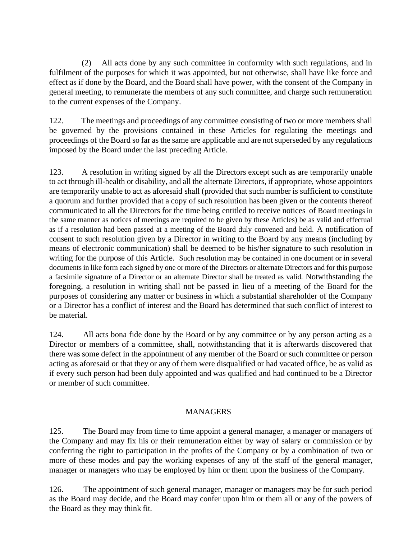(2) All acts done by any such committee in conformity with such regulations, and in fulfilment of the purposes for which it was appointed, but not otherwise, shall have like force and effect as if done by the Board, and the Board shall have power, with the consent of the Company in general meeting, to remunerate the members of any such committee, and charge such remuneration to the current expenses of the Company.

122. The meetings and proceedings of any committee consisting of two or more members shall be governed by the provisions contained in these Articles for regulating the meetings and proceedings of the Board so far as the same are applicable and are not superseded by any regulations imposed by the Board under the last preceding Article.

123. A resolution in writing signed by all the Directors except such as are temporarily unable to act through ill-health or disability, and all the alternate Directors, if appropriate, whose appointors are temporarily unable to act as aforesaid shall (provided that such number is sufficient to constitute a quorum and further provided that a copy of such resolution has been given or the contents thereof communicated to all the Directors for the time being entitled to receive notices of Board meetings in the same manner as notices of meetings are required to be given by these Articles) be as valid and effectual as if a resolution had been passed at a meeting of the Board duly convened and held. A notification of consent to such resolution given by a Director in writing to the Board by any means (including by means of electronic communication) shall be deemed to be his/her signature to such resolution in writing for the purpose of this Article. Such resolution may be contained in one document or in several documents in like form each signed by one or more of the Directors or alternate Directors and for this purpose a facsimile signature of a Director or an alternate Director shall be treated as valid. Notwithstanding the foregoing, a resolution in writing shall not be passed in lieu of a meeting of the Board for the purposes of considering any matter or business in which a substantial shareholder of the Company or a Director has a conflict of interest and the Board has determined that such conflict of interest to be material.

124. All acts bona fide done by the Board or by any committee or by any person acting as a Director or members of a committee, shall, notwithstanding that it is afterwards discovered that there was some defect in the appointment of any member of the Board or such committee or person acting as aforesaid or that they or any of them were disqualified or had vacated office, be as valid as if every such person had been duly appointed and was qualified and had continued to be a Director or member of such committee.

### MANAGERS

125. The Board may from time to time appoint a general manager, a manager or managers of the Company and may fix his or their remuneration either by way of salary or commission or by conferring the right to participation in the profits of the Company or by a combination of two or more of these modes and pay the working expenses of any of the staff of the general manager, manager or managers who may be employed by him or them upon the business of the Company.

126. The appointment of such general manager, manager or managers may be for such period as the Board may decide, and the Board may confer upon him or them all or any of the powers of the Board as they may think fit.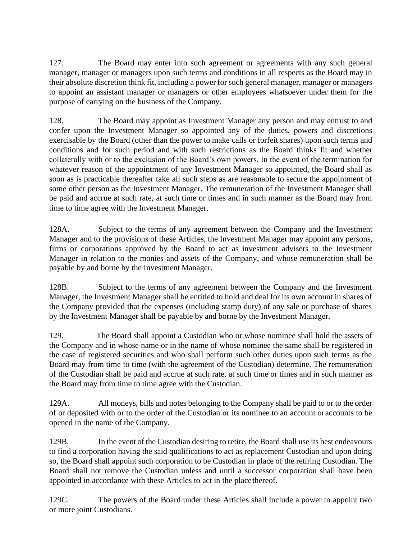127. The Board may enter into such agreement or agreements with any such general manager, manager or managers upon such terms and conditions in all respects as the Board may in their absolute discretion think fit, including a power for such general manager, manager or managers to appoint an assistant manager or managers or other employees whatsoever under them for the purpose of carrying on the business of the Company.

128. The Board may appoint as Investment Manager any person and may entrust to and confer upon the Investment Manager so appointed any of the duties, powers and discretions exercisable by the Board (other than the power to make calls or forfeit shares) upon such terms and conditions and for such period and with such restrictions as the Board thinks fit and whether collaterally with or to the exclusion of the Board's own powers. In the event of the termination for whatever reason of the appointment of any Investment Manager so appointed, the Board shall as soon as is practicable thereafter take all such steps as are reasonable to secure the appointment of some other person as the Investment Manager. The remuneration of the Investment Manager shall be paid and accrue at such rate, at such time or times and in such manner as the Board may from time to time agree with the Investment Manager.

128A. Subject to the terms of any agreement between the Company and the Investment Manager and to the provisions of these Articles, the Investment Manager may appoint any persons, firms or corporations approved by the Board to act as investment advisers to the Investment Manager in relation to the monies and assets of the Company, and whose remuneration shall be payable by and borne by the Investment Manager.

128B. Subject to the terms of any agreement between the Company and the Investment Manager, the Investment Manager shall be entitled to hold and deal for its own account in shares of the Company provided that the expenses (including stamp duty) of any sale or purchase of shares by the Investment Manager shall be payable by and borne by the Investment Manager.

129. The Board shall appoint a Custodian who or whose nominee shall hold the assets of the Company and in whose name or in the name of whose nominee the same shall be registered in the case of registered securities and who shall perform such other duties upon such terms as the Board may from time to time (with the agreement of the Custodian) determine. The remuneration of the Custodian shall be paid and accrue at such rate, at such time or times and in such manner as the Board may from time to time agree with the Custodian.

129A. All moneys, bills and notes belonging to the Company shall be paid to or to the order of or deposited with or to the order of the Custodian or its nominee to an account or accounts to be opened in the name of the Company.

129B. In the event of the Custodian desiring to retire, the Board shall use its best endeavours to find a corporation having the said qualifications to act as replacement Custodian and upon doing so, the Board shall appoint such corporation to be Custodian in place of the retiring Custodian. The Board shall not remove the Custodian unless and until a successor corporation shall have been appointed in accordance with these Articles to act in the placethereof.

129C. The powers of the Board under these Articles shall include a power to appoint two or more joint Custodians.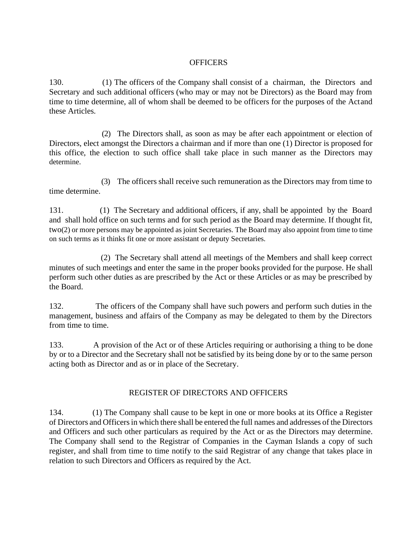### **OFFICERS**

130. (1) The officers of the Company shall consist of a chairman, the Directors and Secretary and such additional officers (who may or may not be Directors) as the Board may from time to time determine, all of whom shall be deemed to be officers for the purposes of the Actand these Articles.

(2) The Directors shall, as soon as may be after each appointment or election of Directors, elect amongst the Directors a chairman and if more than one (1) Director is proposed for this office, the election to such office shall take place in such manner as the Directors may determine.

(3) The officers shall receive such remuneration as the Directors may from time to time determine.

131. (1) The Secretary and additional officers, if any, shall be appointed by the Board and shall hold office on such terms and for such period as the Board may determine. If thought fit, two(2) or more persons may be appointed as joint Secretaries. The Board may also appoint from time to time on such terms as it thinks fit one or more assistant or deputy Secretaries.

(2) The Secretary shall attend all meetings of the Members and shall keep correct minutes of such meetings and enter the same in the proper books provided for the purpose. He shall perform such other duties as are prescribed by the Act or these Articles or as may be prescribed by the Board.

132. The officers of the Company shall have such powers and perform such duties in the management, business and affairs of the Company as may be delegated to them by the Directors from time to time.

133. A provision of the Act or of these Articles requiring or authorising a thing to be done by or to a Director and the Secretary shall not be satisfied by its being done by or to the same person acting both as Director and as or in place of the Secretary.

### REGISTER OF DIRECTORS AND OFFICERS

134. (1) The Company shall cause to be kept in one or more books at its Office a Register of Directors and Officersin which there shall be entered the full names and addresses of the Directors and Officers and such other particulars as required by the Act or as the Directors may determine. The Company shall send to the Registrar of Companies in the Cayman Islands a copy of such register, and shall from time to time notify to the said Registrar of any change that takes place in relation to such Directors and Officers as required by the Act.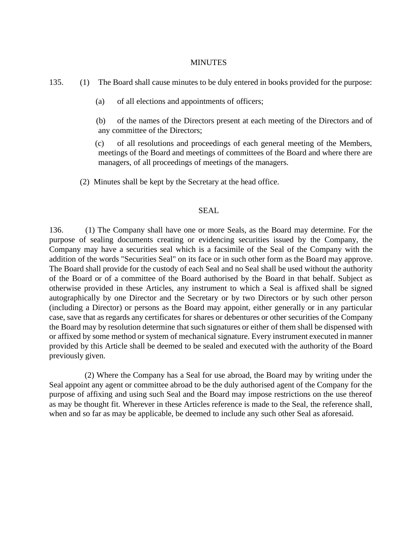#### MINUTES

135. (1) The Board shall cause minutes to be duly entered in books provided for the purpose:

(a) of all elections and appointments of officers;

(b) of the names of the Directors present at each meeting of the Directors and of any committee of the Directors;

(c) of all resolutions and proceedings of each general meeting of the Members, meetings of the Board and meetings of committees of the Board and where there are managers, of all proceedings of meetings of the managers.

(2) Minutes shall be kept by the Secretary at the head office.

#### SEAL

136. (1) The Company shall have one or more Seals, as the Board may determine. For the purpose of sealing documents creating or evidencing securities issued by the Company, the Company may have a securities seal which is a facsimile of the Seal of the Company with the addition of the words "Securities Seal" on its face or in such other form as the Board may approve. The Board shall provide for the custody of each Seal and no Seal shall be used without the authority of the Board or of a committee of the Board authorised by the Board in that behalf. Subject as otherwise provided in these Articles, any instrument to which a Seal is affixed shall be signed autographically by one Director and the Secretary or by two Directors or by such other person (including a Director) or persons as the Board may appoint, either generally or in any particular case, save that as regards any certificates for shares or debentures or other securities of the Company the Board may by resolution determine that such signatures or either of them shall be dispensed with or affixed by some method or system of mechanical signature. Every instrument executed in manner provided by this Article shall be deemed to be sealed and executed with the authority of the Board previously given.

(2) Where the Company has a Seal for use abroad, the Board may by writing under the Seal appoint any agent or committee abroad to be the duly authorised agent of the Company for the purpose of affixing and using such Seal and the Board may impose restrictions on the use thereof as may be thought fit. Wherever in these Articles reference is made to the Seal, the reference shall, when and so far as may be applicable, be deemed to include any such other Seal as aforesaid.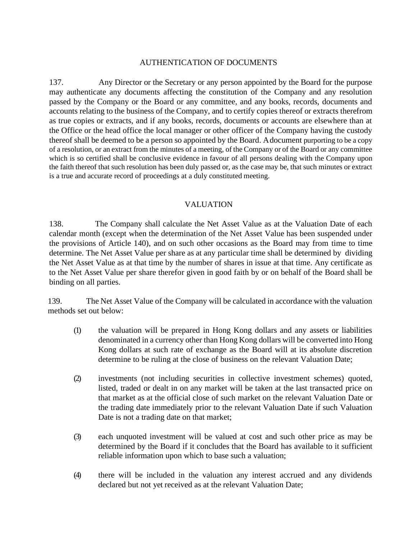### AUTHENTICATION OF DOCUMENTS

137. Any Director or the Secretary or any person appointed by the Board for the purpose may authenticate any documents affecting the constitution of the Company and any resolution passed by the Company or the Board or any committee, and any books, records, documents and accounts relating to the business of the Company, and to certify copies thereof or extracts therefrom as true copies or extracts, and if any books, records, documents or accounts are elsewhere than at the Office or the head office the local manager or other officer of the Company having the custody thereof shall be deemed to be a person so appointed by the Board. Adocument purporting to be a copy of a resolution, or an extract from the minutes of a meeting, of the Company or of the Board or any committee which is so certified shall be conclusive evidence in favour of all persons dealing with the Company upon the faith thereof that such resolution has been duly passed or, as the case may be, that such minutes or extract is a true and accurate record of proceedings at a duly constituted meeting.

### VALUATION

138. The Company shall calculate the Net Asset Value as at the Valuation Date of each calendar month (except when the determination of the Net Asset Value has been suspended under the provisions of Article 140), and on such other occasions as the Board may from time to time determine. The Net Asset Value per share as at any particular time shall be determined by dividing the Net Asset Value as at that time by the number of shares in issue at that time. Any certificate as to the Net Asset Value per share therefor given in good faith by or on behalf of the Board shall be binding on all parties.

139. The Net Asset Value of the Company will be calculated in accordance with the valuation methods set out below:

- (1) the valuation will be prepared in Hong Kong dollars and any assets or liabilities denominated in a currency other than Hong Kong dollars will be converted into Hong Kong dollars at such rate of exchange as the Board will at its absolute discretion determine to be ruling at the close of business on the relevant Valuation Date;
- (2) investments (not including securities in collective investment schemes) quoted, listed, traded or dealt in on any market will be taken at the last transacted price on that market as at the official close of such market on the relevant Valuation Date or the trading date immediately prior to the relevant Valuation Date if such Valuation Date is not a trading date on that market;
- (3) each unquoted investment will be valued at cost and such other price as may be determined by the Board if it concludes that the Board has available to it sufficient reliable information upon which to base such a valuation;
- (4) there will be included in the valuation any interest accrued and any dividends declared but not yet received as at the relevant Valuation Date;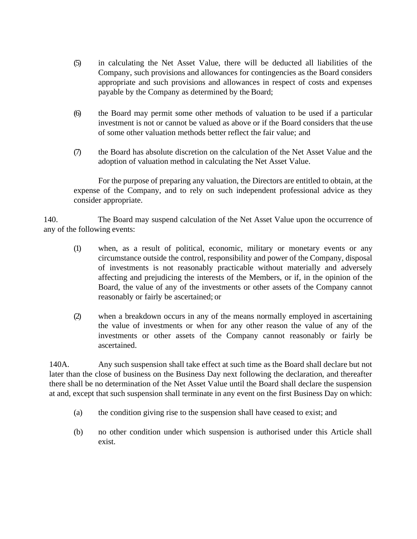- (5) in calculating the Net Asset Value, there will be deducted all liabilities of the Company, such provisions and allowances for contingencies as the Board considers appropriate and such provisions and allowances in respect of costs and expenses payable by the Company as determined by the Board;
- (6) the Board may permit some other methods of valuation to be used if a particular investment is not or cannot be valued as above or if the Board considers that the use of some other valuation methods better reflect the fair value; and
- (7) the Board has absolute discretion on the calculation of the Net Asset Value and the adoption of valuation method in calculating the Net Asset Value.

For the purpose of preparing any valuation, the Directors are entitled to obtain, at the expense of the Company, and to rely on such independent professional advice as they consider appropriate.

140. The Board may suspend calculation of the Net Asset Value upon the occurrence of any of the following events:

- (1) when, as a result of political, economic, military or monetary events or any circumstance outside the control, responsibility and power of the Company, disposal of investments is not reasonably practicable without materially and adversely affecting and prejudicing the interests of the Members, or if, in the opinion of the Board, the value of any of the investments or other assets of the Company cannot reasonably or fairly be ascertained; or
- (2) when a breakdown occurs in any of the means normally employed in ascertaining the value of investments or when for any other reason the value of any of the investments or other assets of the Company cannot reasonably or fairly be ascertained.

140A. Any such suspension shall take effect at such time as the Board shall declare but not later than the close of business on the Business Day next following the declaration, and thereafter there shall be no determination of the Net Asset Value until the Board shall declare the suspension at and, except that such suspension shall terminate in any event on the first Business Day on which:

- (a) the condition giving rise to the suspension shall have ceased to exist; and
- (b) no other condition under which suspension is authorised under this Article shall exist.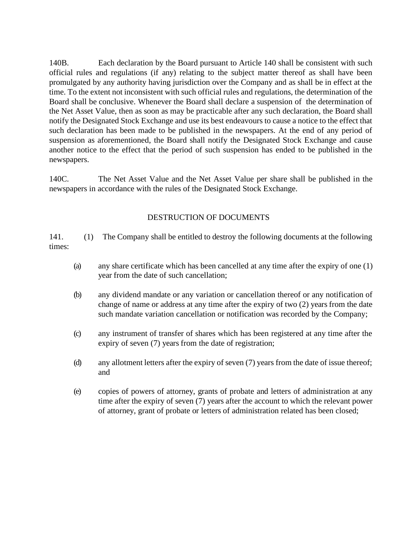140B. Each declaration by the Board pursuant to Article 140 shall be consistent with such official rules and regulations (if any) relating to the subject matter thereof as shall have been promulgated by any authority having jurisdiction over the Company and as shall be in effect at the time. To the extent not inconsistent with such official rules and regulations, the determination of the Board shall be conclusive. Whenever the Board shall declare a suspension of the determination of the Net Asset Value, then as soon as may be practicable after any such declaration, the Board shall notify the Designated Stock Exchange and use its best endeavours to cause a notice to the effect that such declaration has been made to be published in the newspapers. At the end of any period of suspension as aforementioned, the Board shall notify the Designated Stock Exchange and cause another notice to the effect that the period of such suspension has ended to be published in the newspapers.

140C. The Net Asset Value and the Net Asset Value per share shall be published in the newspapers in accordance with the rules of the Designated Stock Exchange.

### DESTRUCTION OF DOCUMENTS

141. (1) The Company shall be entitled to destroy the following documents at the following times:

- (a) any share certificate which has been cancelled at any time after the expiry of one (1) year from the date of such cancellation;
- (b) any dividend mandate or any variation or cancellation thereof or any notification of change of name or address at any time after the expiry of two (2) years from the date such mandate variation cancellation or notification was recorded by the Company;
- (c) any instrument of transfer of shares which has been registered at any time after the expiry of seven (7) years from the date of registration;
- (d) any allotment letters after the expiry of seven (7) years from the date of issue thereof; and
- (e) copies of powers of attorney, grants of probate and letters of administration at any time after the expiry of seven (7) years after the account to which the relevant power of attorney, grant of probate or letters of administration related has been closed;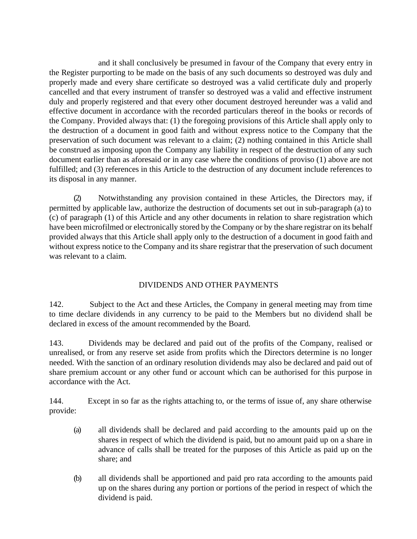and it shall conclusively be presumed in favour of the Company that every entry in the Register purporting to be made on the basis of any such documents so destroyed was duly and properly made and every share certificate so destroyed was a valid certificate duly and properly cancelled and that every instrument of transfer so destroyed was a valid and effective instrument duly and properly registered and that every other document destroyed hereunder was a valid and effective document in accordance with the recorded particulars thereof in the books or records of the Company. Provided always that: (1) the foregoing provisions of this Article shall apply only to the destruction of a document in good faith and without express notice to the Company that the preservation of such document was relevant to a claim; (2) nothing contained in this Article shall be construed as imposing upon the Company any liability in respect of the destruction of any such document earlier than as aforesaid or in any case where the conditions of proviso (1) above are not fulfilled; and (3) references in this Article to the destruction of any document include references to its disposal in any manner.

(2) Notwithstanding any provision contained in these Articles, the Directors may, if permitted by applicable law, authorize the destruction of documents set out in sub-paragraph (a) to (c) of paragraph (1) of this Article and any other documents in relation to share registration which have been microfilmed or electronically stored by the Company or by the share registrar on its behalf provided always that this Article shall apply only to the destruction of a document in good faith and without express notice to the Company and its share registrar that the preservation of such document was relevant to a claim.

# DIVIDENDS AND OTHER PAYMENTS

142. Subject to the Act and these Articles, the Company in general meeting may from time to time declare dividends in any currency to be paid to the Members but no dividend shall be declared in excess of the amount recommended by the Board.

143. Dividends may be declared and paid out of the profits of the Company, realised or unrealised, or from any reserve set aside from profits which the Directors determine is no longer needed. With the sanction of an ordinary resolution dividends may also be declared and paid out of share premium account or any other fund or account which can be authorised for this purpose in accordance with the Act.

144. Except in so far as the rights attaching to, or the terms of issue of, any share otherwise provide:

- (a) all dividends shall be declared and paid according to the amounts paid up on the shares in respect of which the dividend is paid, but no amount paid up on a share in advance of calls shall be treated for the purposes of this Article as paid up on the share; and
- (b) all dividends shall be apportioned and paid pro rata according to the amounts paid up on the shares during any portion or portions of the period in respect of which the dividend is paid.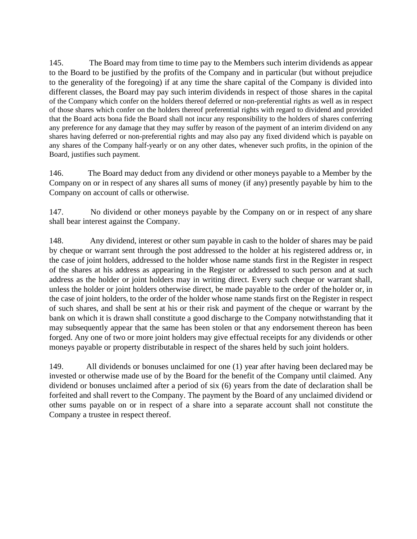145. The Board may from time to time pay to the Members such interim dividends as appear to the Board to be justified by the profits of the Company and in particular (but without prejudice to the generality of the foregoing) if at any time the share capital of the Company is divided into different classes, the Board may pay such interim dividends in respect of those shares in the capital of the Company which confer on the holders thereof deferred or non-preferential rights as well as in respect of those shares which confer on the holders thereof preferential rights with regard to dividend and provided that the Board acts bona fide the Board shall not incur any responsibility to the holders of shares conferring any preference for any damage that they may suffer by reason of the payment of an interim dividend on any shares having deferred or non-preferential rights and may also pay any fixed dividend which is payable on any shares of the Company half-yearly or on any other dates, whenever such profits, in the opinion of the Board, justifies such payment.

146. The Board may deduct from any dividend or other moneys payable to a Member by the Company on or in respect of any shares all sums of money (if any) presently payable by him to the Company on account of calls or otherwise.

147. No dividend or other moneys payable by the Company on or in respect of any share shall bear interest against the Company.

148. Any dividend, interest or other sum payable in cash to the holder of shares may be paid by cheque or warrant sent through the post addressed to the holder at his registered address or, in the case of joint holders, addressed to the holder whose name stands first in the Register in respect of the shares at his address as appearing in the Register or addressed to such person and at such address as the holder or joint holders may in writing direct. Every such cheque or warrant shall, unless the holder or joint holders otherwise direct, be made payable to the order of the holder or, in the case of joint holders, to the order of the holder whose name stands first on the Register in respect of such shares, and shall be sent at his or their risk and payment of the cheque or warrant by the bank on which it is drawn shall constitute a good discharge to the Company notwithstanding that it may subsequently appear that the same has been stolen or that any endorsement thereon has been forged. Any one of two or more joint holders may give effectual receipts for any dividends or other moneys payable or property distributable in respect of the shares held by such joint holders.

149. All dividends or bonuses unclaimed for one (1) year after having been declared may be invested or otherwise made use of by the Board for the benefit of the Company until claimed. Any dividend or bonuses unclaimed after a period of six (6) years from the date of declaration shall be forfeited and shall revert to the Company. The payment by the Board of any unclaimed dividend or other sums payable on or in respect of a share into a separate account shall not constitute the Company a trustee in respect thereof.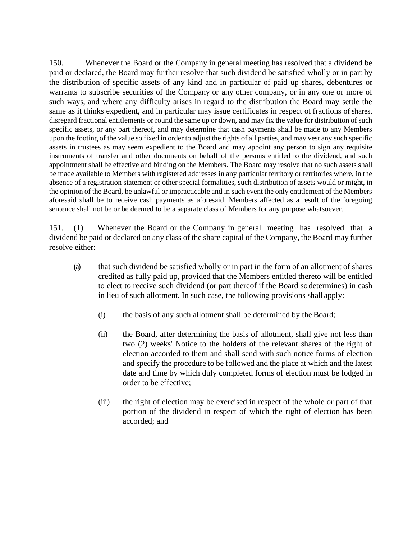150. Whenever the Board or the Company in general meeting has resolved that a dividend be paid or declared, the Board may further resolve that such dividend be satisfied wholly or in part by the distribution of specific assets of any kind and in particular of paid up shares, debentures or warrants to subscribe securities of the Company or any other company, or in any one or more of such ways, and where any difficulty arises in regard to the distribution the Board may settle the same as it thinks expedient, and in particular may issue certificates in respect of fractions of shares, disregard fractional entitlements or round the same up or down, and may fix the value for distribution of such specific assets, or any part thereof, and may determine that cash payments shall be made to any Members upon the footing of the value so fixed in order to adjust the rights of all parties, and may vest any such specific assets in trustees as may seem expedient to the Board and may appoint any person to sign any requisite instruments of transfer and other documents on behalf of the persons entitled to the dividend, and such appointment shall be effective and binding on the Members. The Board may resolve that no such assets shall be made available to Members with registered addresses in any particular territory or territories where, in the absence of a registration statement or other special formalities, such distribution of assets would or might, in the opinion of the Board, be unlawful or impracticable and in such event the only entitlement of the Members aforesaid shall be to receive cash payments as aforesaid. Members affected as a result of the foregoing sentence shall not be or be deemed to be a separate class of Members for any purpose whatsoever.

151. (1) Whenever the Board or the Company in general meeting has resolved that a dividend be paid or declared on any class of the share capital of the Company, the Board may further resolve either:

- (a) that such dividend be satisfied wholly or in part in the form of an allotment of shares credited as fully paid up, provided that the Members entitled thereto will be entitled to elect to receive such dividend (or part thereof if the Board sodetermines) in cash in lieu of such allotment. In such case, the following provisions shall apply:
	- (i) the basis of any such allotment shall be determined by the Board;
	- (ii) the Board, after determining the basis of allotment, shall give not less than two (2) weeks' Notice to the holders of the relevant shares of the right of election accorded to them and shall send with such notice forms of election and specify the procedure to be followed and the place at which and the latest date and time by which duly completed forms of election must be lodged in order to be effective;
	- (iii) the right of election may be exercised in respect of the whole or part of that portion of the dividend in respect of which the right of election has been accorded; and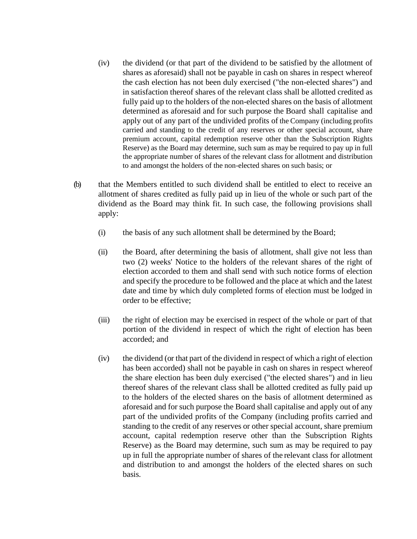- (iv) the dividend (or that part of the dividend to be satisfied by the allotment of shares as aforesaid) shall not be payable in cash on shares in respect whereof the cash election has not been duly exercised ("the non-elected shares") and in satisfaction thereof shares of the relevant class shall be allotted credited as fully paid up to the holders of the non-elected shares on the basis of allotment determined as aforesaid and for such purpose the Board shall capitalise and apply out of any part of the undivided profits of the Company (including profits carried and standing to the credit of any reserves or other special account, share premium account, capital redemption reserve other than the Subscription Rights Reserve) as the Board may determine, such sum as may be required to pay up in full the appropriate number of shares of the relevant class for allotment and distribution to and amongst the holders of the non-elected shares on such basis; or
- (b) that the Members entitled to such dividend shall be entitled to elect to receive an allotment of shares credited as fully paid up in lieu of the whole or such part of the dividend as the Board may think fit. In such case, the following provisions shall apply:
	- (i) the basis of any such allotment shall be determined by the Board;
	- (ii) the Board, after determining the basis of allotment, shall give not less than two (2) weeks' Notice to the holders of the relevant shares of the right of election accorded to them and shall send with such notice forms of election and specify the procedure to be followed and the place at which and the latest date and time by which duly completed forms of election must be lodged in order to be effective;
	- (iii) the right of election may be exercised in respect of the whole or part of that portion of the dividend in respect of which the right of election has been accorded; and
	- (iv) the dividend (or that part of the dividend in respect of which a right of election has been accorded) shall not be payable in cash on shares in respect whereof the share election has been duly exercised ("the elected shares") and in lieu thereof shares of the relevant class shall be allotted credited as fully paid up to the holders of the elected shares on the basis of allotment determined as aforesaid and for such purpose the Board shall capitalise and apply out of any part of the undivided profits of the Company (including profits carried and standing to the credit of any reserves or other special account, share premium account, capital redemption reserve other than the Subscription Rights Reserve) as the Board may determine, such sum as may be required to pay up in full the appropriate number of shares of the relevant class for allotment and distribution to and amongst the holders of the elected shares on such basis.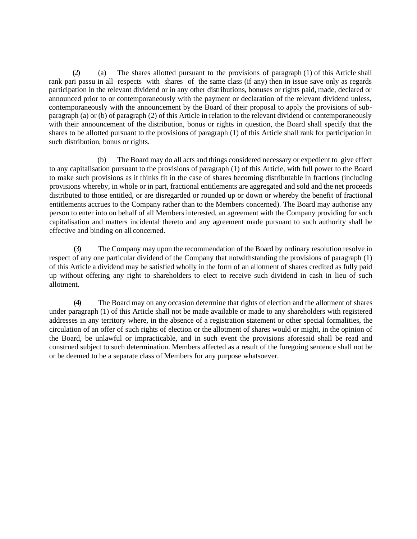(2) (a) The shares allotted pursuant to the provisions of paragraph (1) of this Article shall rank pari passu in all respects with shares of the same class (if any) then in issue save only as regards participation in the relevant dividend or in any other distributions, bonuses or rights paid, made, declared or announced prior to or contemporaneously with the payment or declaration of the relevant dividend unless, contemporaneously with the announcement by the Board of their proposal to apply the provisions of subparagraph (a) or (b) of paragraph (2) of this Article in relation to the relevant dividend or contemporaneously with their announcement of the distribution, bonus or rights in question, the Board shall specify that the shares to be allotted pursuant to the provisions of paragraph (1) of this Article shall rank for participation in such distribution, bonus or rights.

(b) The Board may do all acts and things considered necessary or expedient to give effect to any capitalisation pursuant to the provisions of paragraph (1) of this Article, with full power to the Board to make such provisions as it thinks fit in the case of shares becoming distributable in fractions (including provisions whereby, in whole or in part, fractional entitlements are aggregated and sold and the net proceeds distributed to those entitled, or are disregarded or rounded up or down or whereby the benefit of fractional entitlements accrues to the Company rather than to the Members concerned). The Board may authorise any person to enter into on behalf of all Members interested, an agreement with the Company providing for such capitalisation and matters incidental thereto and any agreement made pursuant to such authority shall be effective and binding on all concerned.

(3) The Company may upon the recommendation of the Board by ordinary resolution resolve in respect of any one particular dividend of the Company that notwithstanding the provisions of paragraph (1) of this Article a dividend may be satisfied wholly in the form of an allotment of shares credited as fully paid up without offering any right to shareholders to elect to receive such dividend in cash in lieu of such allotment.

(4) The Board may on any occasion determine that rights of election and the allotment of shares under paragraph (1) of this Article shall not be made available or made to any shareholders with registered addresses in any territory where, in the absence of a registration statement or other special formalities, the circulation of an offer of such rights of election or the allotment of shares would or might, in the opinion of the Board, be unlawful or impracticable, and in such event the provisions aforesaid shall be read and construed subject to such determination. Members affected as a result of the foregoing sentence shall not be or be deemed to be a separate class of Members for any purpose whatsoever.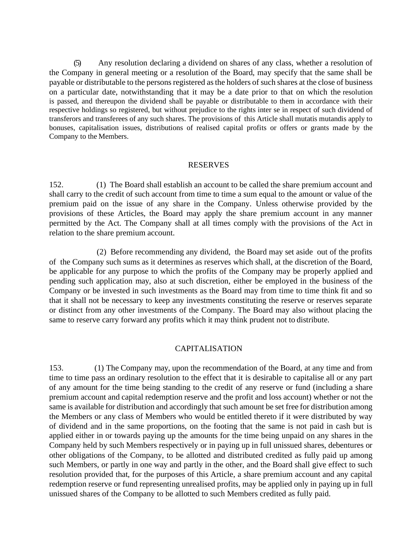(5) Any resolution declaring a dividend on shares of any class, whether a resolution of the Company in general meeting or a resolution of the Board, may specify that the same shall be payable or distributable to the persons registered as the holders of such shares at the close of business on a particular date, notwithstanding that it may be a date prior to that on which the resolution is passed, and thereupon the dividend shall be payable or distributable to them in accordance with their respective holdings so registered, but without prejudice to the rights inter se in respect of such dividend of transferors and transferees of any such shares. The provisions of this Article shall mutatis mutandis apply to bonuses, capitalisation issues, distributions of realised capital profits or offers or grants made by the Company to the Members.

#### RESERVES

152. (1) The Board shall establish an account to be called the share premium account and shall carry to the credit of such account from time to time a sum equal to the amount or value of the premium paid on the issue of any share in the Company. Unless otherwise provided by the provisions of these Articles, the Board may apply the share premium account in any manner permitted by the Act. The Company shall at all times comply with the provisions of the Act in relation to the share premium account.

(2) Before recommending any dividend, the Board may set aside out of the profits of the Company such sums as it determines as reserves which shall, at the discretion of the Board, be applicable for any purpose to which the profits of the Company may be properly applied and pending such application may, also at such discretion, either be employed in the business of the Company or be invested in such investments as the Board may from time to time think fit and so that it shall not be necessary to keep any investments constituting the reserve or reserves separate or distinct from any other investments of the Company. The Board may also without placing the same to reserve carry forward any profits which it may think prudent not to distribute.

#### CAPITALISATION

153. (1) The Company may, upon the recommendation of the Board, at any time and from time to time pass an ordinary resolution to the effect that it is desirable to capitalise all or any part of any amount for the time being standing to the credit of any reserve or fund (including a share premium account and capital redemption reserve and the profit and loss account) whether or not the same is available for distribution and accordingly that such amount be set free for distribution among the Members or any class of Members who would be entitled thereto if it were distributed by way of dividend and in the same proportions, on the footing that the same is not paid in cash but is applied either in or towards paying up the amounts for the time being unpaid on any shares in the Company held by such Members respectively or in paying up in full unissued shares, debentures or other obligations of the Company, to be allotted and distributed credited as fully paid up among such Members, or partly in one way and partly in the other, and the Board shall give effect to such resolution provided that, for the purposes of this Article, a share premium account and any capital redemption reserve or fund representing unrealised profits, may be applied only in paying up in full unissued shares of the Company to be allotted to such Members credited as fully paid.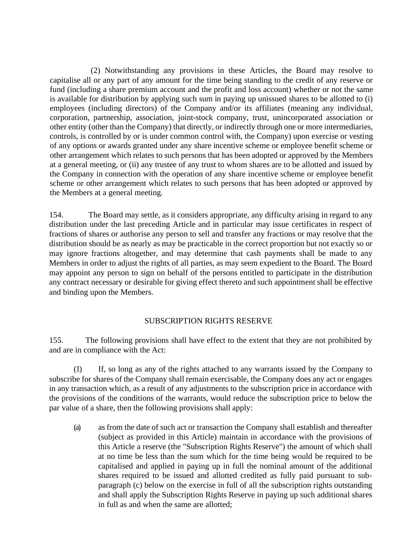(2) Notwithstanding any provisions in these Articles, the Board may resolve to capitalise all or any part of any amount for the time being standing to the credit of any reserve or fund (including a share premium account and the profit and loss account) whether or not the same is available for distribution by applying such sum in paying up unissued shares to be allotted to (i) employees (including directors) of the Company and/or its affiliates (meaning any individual, corporation, partnership, association, joint-stock company, trust, unincorporated association or other entity (other than the Company) that directly, or indirectly through one or more intermediaries, controls, is controlled by or is under common control with, the Company) upon exercise or vesting of any options or awards granted under any share incentive scheme or employee benefit scheme or other arrangement which relates to such persons that has been adopted or approved by the Members at a general meeting, or (ii) any trustee of any trust to whom shares are to be allotted and issued by the Company in connection with the operation of any share incentive scheme or employee benefit scheme or other arrangement which relates to such persons that has been adopted or approved by the Members at a general meeting.

154. The Board may settle, as it considers appropriate, any difficulty arising in regard to any distribution under the last preceding Article and in particular may issue certificates in respect of fractions of shares or authorise any person to sell and transfer any fractions or may resolve that the distribution should be as nearly as may be practicable in the correct proportion but not exactly so or may ignore fractions altogether, and may determine that cash payments shall be made to any Members in order to adjust the rights of all parties, as may seem expedient to the Board. The Board may appoint any person to sign on behalf of the persons entitled to participate in the distribution any contract necessary or desirable for giving effect thereto and such appointment shall be effective and binding upon the Members.

### SUBSCRIPTION RIGHTS RESERVE

155. The following provisions shall have effect to the extent that they are not prohibited by and are in compliance with the Act:

(1) If, so long as any of the rights attached to any warrants issued by the Company to subscribe for shares of the Company shall remain exercisable, the Company does any act or engages in any transaction which, as a result of any adjustments to the subscription price in accordance with the provisions of the conditions of the warrants, would reduce the subscription price to below the par value of a share, then the following provisions shall apply:

(a) as from the date of such act or transaction the Company shall establish and thereafter (subject as provided in this Article) maintain in accordance with the provisions of this Article a reserve (the "Subscription Rights Reserve") the amount of which shall at no time be less than the sum which for the time being would be required to be capitalised and applied in paying up in full the nominal amount of the additional shares required to be issued and allotted credited as fully paid pursuant to subparagraph (c) below on the exercise in full of all the subscription rights outstanding and shall apply the Subscription Rights Reserve in paying up such additional shares in full as and when the same are allotted;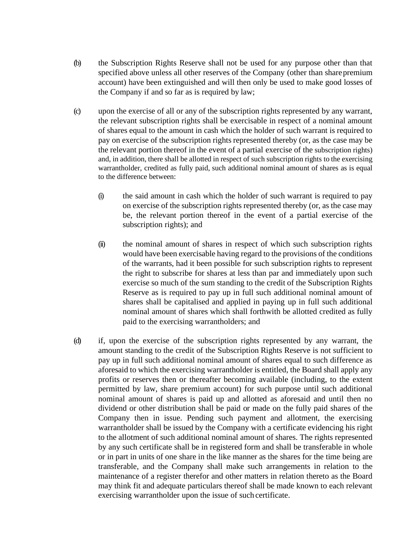- (b) the Subscription Rights Reserve shall not be used for any purpose other than that specified above unless all other reserves of the Company (other than sharepremium account) have been extinguished and will then only be used to make good losses of the Company if and so far as is required by law;
- (c) upon the exercise of all or any of the subscription rights represented by any warrant, the relevant subscription rights shall be exercisable in respect of a nominal amount of shares equal to the amount in cash which the holder of such warrant is required to pay on exercise of the subscription rights represented thereby (or, as the case may be the relevant portion thereof in the event of a partial exercise of the subscription rights) and, in addition, there shall be allotted in respect of such subscription rights to the exercising warrantholder, credited as fully paid, such additional nominal amount of shares as is equal to the difference between:
	- (i) the said amount in cash which the holder of such warrant is required to pay on exercise of the subscription rights represented thereby (or, as the case may be, the relevant portion thereof in the event of a partial exercise of the subscription rights); and
	- (ii) the nominal amount of shares in respect of which such subscription rights would have been exercisable having regard to the provisions of the conditions of the warrants, had it been possible for such subscription rights to represent the right to subscribe for shares at less than par and immediately upon such exercise so much of the sum standing to the credit of the Subscription Rights Reserve as is required to pay up in full such additional nominal amount of shares shall be capitalised and applied in paying up in full such additional nominal amount of shares which shall forthwith be allotted credited as fully paid to the exercising warrantholders; and
- (d) if, upon the exercise of the subscription rights represented by any warrant, the amount standing to the credit of the Subscription Rights Reserve is not sufficient to pay up in full such additional nominal amount of shares equal to such difference as aforesaid to which the exercising warrantholder is entitled, the Board shall apply any profits or reserves then or thereafter becoming available (including, to the extent permitted by law, share premium account) for such purpose until such additional nominal amount of shares is paid up and allotted as aforesaid and until then no dividend or other distribution shall be paid or made on the fully paid shares of the Company then in issue. Pending such payment and allotment, the exercising warrantholder shall be issued by the Company with a certificate evidencing his right to the allotment of such additional nominal amount of shares. The rights represented by any such certificate shall be in registered form and shall be transferable in whole or in part in units of one share in the like manner as the shares for the time being are transferable, and the Company shall make such arrangements in relation to the maintenance of a register therefor and other matters in relation thereto as the Board may think fit and adequate particulars thereof shall be made known to each relevant exercising warrantholder upon the issue of such certificate.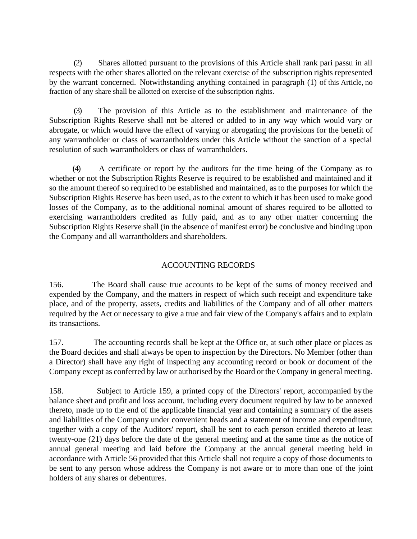(2) Shares allotted pursuant to the provisions of this Article shall rank pari passu in all respects with the other shares allotted on the relevant exercise of the subscription rights represented by the warrant concerned. Notwithstanding anything contained in paragraph (1) of this Article, no fraction of any share shall be allotted on exercise of the subscription rights.

(3) The provision of this Article as to the establishment and maintenance of the Subscription Rights Reserve shall not be altered or added to in any way which would vary or abrogate, or which would have the effect of varying or abrogating the provisions for the benefit of any warrantholder or class of warrantholders under this Article without the sanction of a special resolution of such warrantholders or class of warrantholders.

(4) A certificate or report by the auditors for the time being of the Company as to whether or not the Subscription Rights Reserve is required to be established and maintained and if so the amount thereof so required to be established and maintained, as to the purposes for which the Subscription Rights Reserve has been used, as to the extent to which it has been used to make good losses of the Company, as to the additional nominal amount of shares required to be allotted to exercising warrantholders credited as fully paid, and as to any other matter concerning the Subscription Rights Reserve shall (in the absence of manifest error) be conclusive and binding upon the Company and all warrantholders and shareholders.

### ACCOUNTING RECORDS

156. The Board shall cause true accounts to be kept of the sums of money received and expended by the Company, and the matters in respect of which such receipt and expenditure take place, and of the property, assets, credits and liabilities of the Company and of all other matters required by the Act or necessary to give a true and fair view of the Company's affairs and to explain its transactions.

157. The accounting records shall be kept at the Office or, at such other place or places as the Board decides and shall always be open to inspection by the Directors. No Member (other than a Director) shall have any right of inspecting any accounting record or book or document of the Company except as conferred by law or authorised by the Board or the Company in general meeting.

158. Subject to Article 159, a printed copy of the Directors' report, accompanied bythe balance sheet and profit and loss account, including every document required by law to be annexed thereto, made up to the end of the applicable financial year and containing a summary of the assets and liabilities of the Company under convenient heads and a statement of income and expenditure, together with a copy of the Auditors' report, shall be sent to each person entitled thereto at least twenty-one (21) days before the date of the general meeting and at the same time as the notice of annual general meeting and laid before the Company at the annual general meeting held in accordance with Article 56 provided that this Article shall not require a copy of those documents to be sent to any person whose address the Company is not aware or to more than one of the joint holders of any shares or debentures.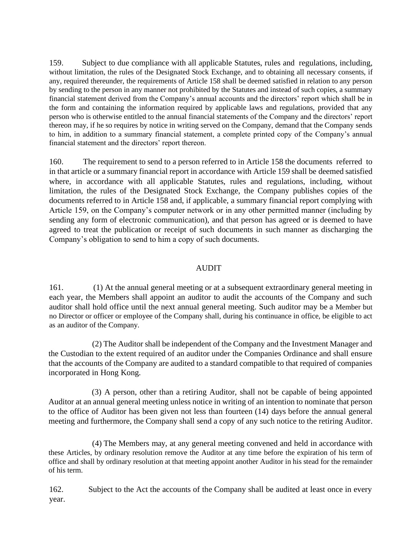159. Subject to due compliance with all applicable Statutes, rules and regulations, including, without limitation, the rules of the Designated Stock Exchange, and to obtaining all necessary consents, if any, required thereunder, the requirements of Article 158 shall be deemed satisfied in relation to any person by sending to the person in any manner not prohibited by the Statutes and instead of such copies, a summary financial statement derived from the Company's annual accounts and the directors' report which shall be in the form and containing the information required by applicable laws and regulations, provided that any person who is otherwise entitled to the annual financial statements of the Company and the directors' report thereon may, if he so requires by notice in writing served on the Company, demand that the Company sends to him, in addition to a summary financial statement, a complete printed copy of the Company's annual financial statement and the directors' report thereon.

160. The requirement to send to a person referred to in Article 158 the documents referred to in that article or a summary financial report in accordance with Article 159 shall be deemed satisfied where, in accordance with all applicable Statutes, rules and regulations, including, without limitation, the rules of the Designated Stock Exchange, the Company publishes copies of the documents referred to in Article 158 and, if applicable, a summary financial report complying with Article 159, on the Company's computer network or in any other permitted manner (including by sending any form of electronic communication), and that person has agreed or is deemed to have agreed to treat the publication or receipt of such documents in such manner as discharging the Company's obligation to send to him a copy of such documents.

### AUDIT

161. (1) At the annual general meeting or at a subsequent extraordinary general meeting in each year, the Members shall appoint an auditor to audit the accounts of the Company and such auditor shall hold office until the next annual general meeting. Such auditor may be a Member but no Director or officer or employee of the Company shall, during his continuance in office, be eligible to act as an auditor of the Company.

(2) The Auditor shall be independent of the Company and the Investment Manager and the Custodian to the extent required of an auditor under the Companies Ordinance and shall ensure that the accounts of the Company are audited to a standard compatible to that required of companies incorporated in Hong Kong.

(3) A person, other than a retiring Auditor, shall not be capable of being appointed Auditor at an annual general meeting unless notice in writing of an intention to nominate that person to the office of Auditor has been given not less than fourteen (14) days before the annual general meeting and furthermore, the Company shall send a copy of any such notice to the retiring Auditor.

(4) The Members may, at any general meeting convened and held in accordance with these Articles, by ordinary resolution remove the Auditor at any time before the expiration of his term of office and shall by ordinary resolution at that meeting appoint another Auditor in his stead for the remainder of his term.

162. Subject to the Act the accounts of the Company shall be audited at least once in every year.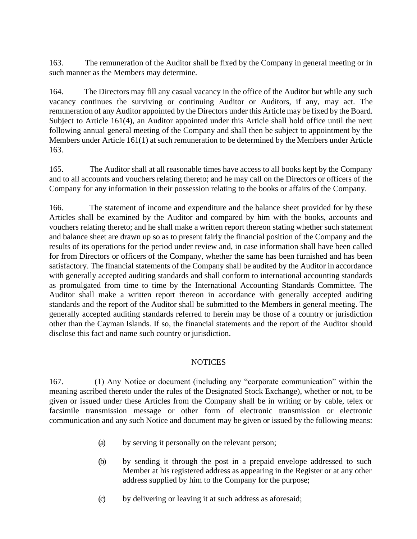163. The remuneration of the Auditor shall be fixed by the Company in general meeting or in such manner as the Members may determine.

164. The Directors may fill any casual vacancy in the office of the Auditor but while any such vacancy continues the surviving or continuing Auditor or Auditors, if any, may act. The remuneration of any Auditor appointed by the Directors under this Article may be fixed by the Board. Subject to Article 161(4), an Auditor appointed under this Article shall hold office until the next following annual general meeting of the Company and shall then be subject to appointment by the Members under Article 161(1) at such remuneration to be determined by the Members under Article 163.

165. The Auditor shall at all reasonable times have access to all books kept by the Company and to all accounts and vouchers relating thereto; and he may call on the Directors or officers of the Company for any information in their possession relating to the books or affairs of the Company.

166. The statement of income and expenditure and the balance sheet provided for by these Articles shall be examined by the Auditor and compared by him with the books, accounts and vouchers relating thereto; and he shall make a written report thereon stating whether such statement and balance sheet are drawn up so as to present fairly the financial position of the Company and the results of its operations for the period under review and, in case information shall have been called for from Directors or officers of the Company, whether the same has been furnished and has been satisfactory. The financial statements of the Company shall be audited by the Auditor in accordance with generally accepted auditing standards and shall conform to international accounting standards as promulgated from time to time by the International Accounting Standards Committee. The Auditor shall make a written report thereon in accordance with generally accepted auditing standards and the report of the Auditor shall be submitted to the Members in general meeting. The generally accepted auditing standards referred to herein may be those of a country or jurisdiction other than the Cayman Islands. If so, the financial statements and the report of the Auditor should disclose this fact and name such country or jurisdiction.

### **NOTICES**

167. (1) Any Notice or document (including any "corporate communication" within the meaning ascribed thereto under the rules of the Designated Stock Exchange), whether or not, to be given or issued under these Articles from the Company shall be in writing or by cable, telex or facsimile transmission message or other form of electronic transmission or electronic communication and any such Notice and document may be given or issued by the following means:

- (a) by serving it personally on the relevant person;
- (b) by sending it through the post in a prepaid envelope addressed to such Member at his registered address as appearing in the Register or at any other address supplied by him to the Company for the purpose;
- (c) by delivering or leaving it at such address as aforesaid;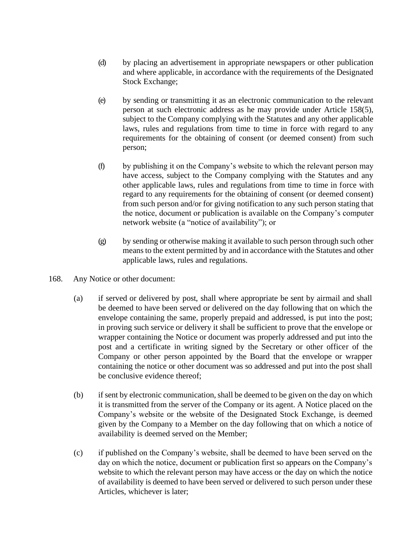- (d) by placing an advertisement in appropriate newspapers or other publication and where applicable, in accordance with the requirements of the Designated Stock Exchange;
- (e) by sending or transmitting it as an electronic communication to the relevant person at such electronic address as he may provide under Article 158(5), subject to the Company complying with the Statutes and any other applicable laws, rules and regulations from time to time in force with regard to any requirements for the obtaining of consent (or deemed consent) from such person;
- (f) by publishing it on the Company's website to which the relevant person may have access, subject to the Company complying with the Statutes and any other applicable laws, rules and regulations from time to time in force with regard to any requirements for the obtaining of consent (or deemed consent) from such person and/or for giving notification to any such person stating that the notice, document or publication is available on the Company's computer network website (a "notice of availability"); or
- (g) by sending or otherwise making it available to such person through such other means to the extent permitted by and in accordance with the Statutes and other applicable laws, rules and regulations.
- 168. Any Notice or other document:
	- (a) if served or delivered by post, shall where appropriate be sent by airmail and shall be deemed to have been served or delivered on the day following that on which the envelope containing the same, properly prepaid and addressed, is put into the post; in proving such service or delivery it shall be sufficient to prove that the envelope or wrapper containing the Notice or document was properly addressed and put into the post and a certificate in writing signed by the Secretary or other officer of the Company or other person appointed by the Board that the envelope or wrapper containing the notice or other document was so addressed and put into the post shall be conclusive evidence thereof;
	- (b) if sent by electronic communication, shall be deemed to be given on the day on which it is transmitted from the server of the Company or its agent. A Notice placed on the Company's website or the website of the Designated Stock Exchange, is deemed given by the Company to a Member on the day following that on which a notice of availability is deemed served on the Member;
	- (c) if published on the Company's website, shall be deemed to have been served on the day on which the notice, document or publication first so appears on the Company's website to which the relevant person may have access or the day on which the notice of availability is deemed to have been served or delivered to such person under these Articles, whichever is later;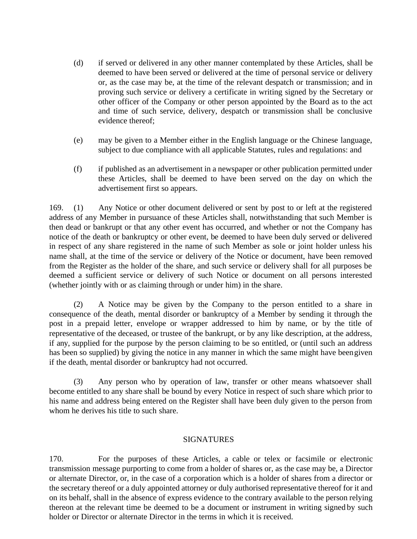- (d) if served or delivered in any other manner contemplated by these Articles, shall be deemed to have been served or delivered at the time of personal service or delivery or, as the case may be, at the time of the relevant despatch or transmission; and in proving such service or delivery a certificate in writing signed by the Secretary or other officer of the Company or other person appointed by the Board as to the act and time of such service, delivery, despatch or transmission shall be conclusive evidence thereof;
- (e) may be given to a Member either in the English language or the Chinese language, subject to due compliance with all applicable Statutes, rules and regulations: and
- (f) if published as an advertisement in a newspaper or other publication permitted under these Articles, shall be deemed to have been served on the day on which the advertisement first so appears.

169. (1) Any Notice or other document delivered or sent by post to or left at the registered address of any Member in pursuance of these Articles shall, notwithstanding that such Member is then dead or bankrupt or that any other event has occurred, and whether or not the Company has notice of the death or bankruptcy or other event, be deemed to have been duly served or delivered in respect of any share registered in the name of such Member as sole or joint holder unless his name shall, at the time of the service or delivery of the Notice or document, have been removed from the Register as the holder of the share, and such service or delivery shall for all purposes be deemed a sufficient service or delivery of such Notice or document on all persons interested (whether jointly with or as claiming through or under him) in the share.

(2) A Notice may be given by the Company to the person entitled to a share in consequence of the death, mental disorder or bankruptcy of a Member by sending it through the post in a prepaid letter, envelope or wrapper addressed to him by name, or by the title of representative of the deceased, or trustee of the bankrupt, or by any like description, at the address, if any, supplied for the purpose by the person claiming to be so entitled, or (until such an address has been so supplied) by giving the notice in any manner in which the same might have beengiven if the death, mental disorder or bankruptcy had not occurred.

(3) Any person who by operation of law, transfer or other means whatsoever shall become entitled to any share shall be bound by every Notice in respect of such share which prior to his name and address being entered on the Register shall have been duly given to the person from whom he derives his title to such share.

### **SIGNATURES**

170. For the purposes of these Articles, a cable or telex or facsimile or electronic transmission message purporting to come from a holder of shares or, as the case may be, a Director or alternate Director, or, in the case of a corporation which is a holder of shares from a director or the secretary thereof or a duly appointed attorney or duly authorised representative thereof for it and on its behalf, shall in the absence of express evidence to the contrary available to the person relying thereon at the relevant time be deemed to be a document or instrument in writing signed by such holder or Director or alternate Director in the terms in which it is received.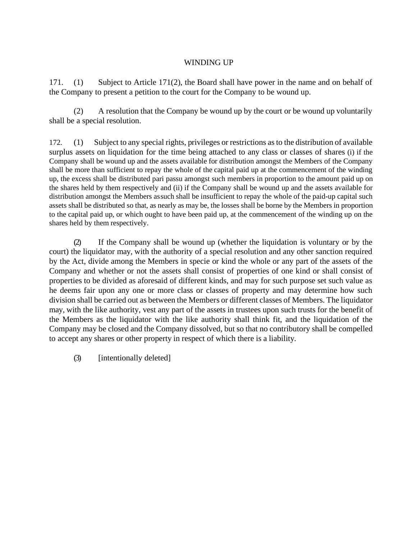### WINDING UP

171. (1) Subject to Article 171(2), the Board shall have power in the name and on behalf of the Company to present a petition to the court for the Company to be wound up.

(2) A resolution that the Company be wound up by the court or be wound up voluntarily shall be a special resolution.

172. (1) Subject to any special rights, privileges or restrictions as to the distribution of available surplus assets on liquidation for the time being attached to any class or classes of shares (i) if the Company shall be wound up and the assets available for distribution amongst the Members of the Company shall be more than sufficient to repay the whole of the capital paid up at the commencement of the winding up, the excess shall be distributed pari passu amongst such members in proportion to the amount paid up on the shares held by them respectively and (ii) if the Company shall be wound up and the assets available for distribution amongst the Members assuch shall be insufficient to repay the whole of the paid-up capital such assets shall be distributed so that, as nearly as may be, the losses shall be borne by the Members in proportion to the capital paid up, or which ought to have been paid up, at the commencement of the winding up on the shares held by them respectively.

(2) If the Company shall be wound up (whether the liquidation is voluntary or by the court) the liquidator may, with the authority of a special resolution and any other sanction required by the Act, divide among the Members in specie or kind the whole or any part of the assets of the Company and whether or not the assets shall consist of properties of one kind or shall consist of properties to be divided as aforesaid of different kinds, and may for such purpose set such value as he deems fair upon any one or more class or classes of property and may determine how such division shall be carried out as between the Members or different classes of Members. The liquidator may, with the like authority, vest any part of the assets in trustees upon such trusts for the benefit of the Members as the liquidator with the like authority shall think fit, and the liquidation of the Company may be closed and the Company dissolved, but so that no contributory shall be compelled to accept any shares or other property in respect of which there is a liability.

(3) [intentionally deleted]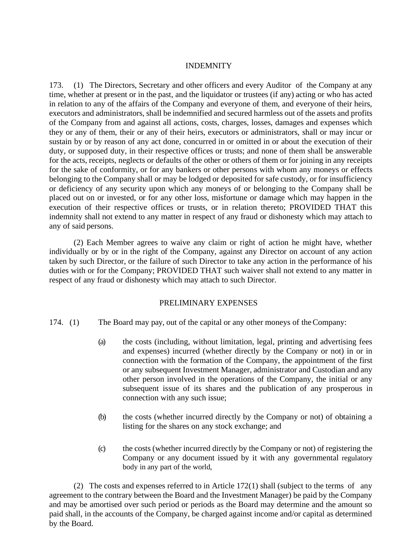#### INDEMNITY

173. (1) The Directors, Secretary and other officers and every Auditor of the Company at any time, whether at present or in the past, and the liquidator or trustees (if any) acting or who has acted in relation to any of the affairs of the Company and everyone of them, and everyone of their heirs, executors and administrators, shall be indemnified and secured harmless out of the assets and profits of the Company from and against all actions, costs, charges, losses, damages and expenses which they or any of them, their or any of their heirs, executors or administrators, shall or may incur or sustain by or by reason of any act done, concurred in or omitted in or about the execution of their duty, or supposed duty, in their respective offices or trusts; and none of them shall be answerable for the acts, receipts, neglects or defaults of the other or others of them or for joining in any receipts for the sake of conformity, or for any bankers or other persons with whom any moneys or effects belonging to the Company shall or may be lodged or deposited for safe custody, or for insufficiency or deficiency of any security upon which any moneys of or belonging to the Company shall be placed out on or invested, or for any other loss, misfortune or damage which may happen in the execution of their respective offices or trusts, or in relation thereto; PROVIDED THAT this indemnity shall not extend to any matter in respect of any fraud or dishonesty which may attach to any of said persons.

(2) Each Member agrees to waive any claim or right of action he might have, whether individually or by or in the right of the Company, against any Director on account of any action taken by such Director, or the failure of such Director to take any action in the performance of his duties with or for the Company; PROVIDED THAT such waiver shall not extend to any matter in respect of any fraud or dishonesty which may attach to such Director.

### PRELIMINARY EXPENSES

- 174. (1) The Board may pay, out of the capital or any other moneys of theCompany:
	- (a) the costs (including, without limitation, legal, printing and advertising fees and expenses) incurred (whether directly by the Company or not) in or in connection with the formation of the Company, the appointment of the first or any subsequent Investment Manager, administrator and Custodian and any other person involved in the operations of the Company, the initial or any subsequent issue of its shares and the publication of any prosperous in connection with any such issue;
	- (b) the costs (whether incurred directly by the Company or not) of obtaining a listing for the shares on any stock exchange; and
	- (c) the costs (whether incurred directly by the Company or not) of registering the Company or any document issued by it with any governmental regulatory body in any part of the world,

(2) The costs and expenses referred to in Article 172(1) shall (subject to the terms of any agreement to the contrary between the Board and the Investment Manager) be paid by the Company and may be amortised over such period or periods as the Board may determine and the amount so paid shall, in the accounts of the Company, be charged against income and/or capital as determined by the Board.